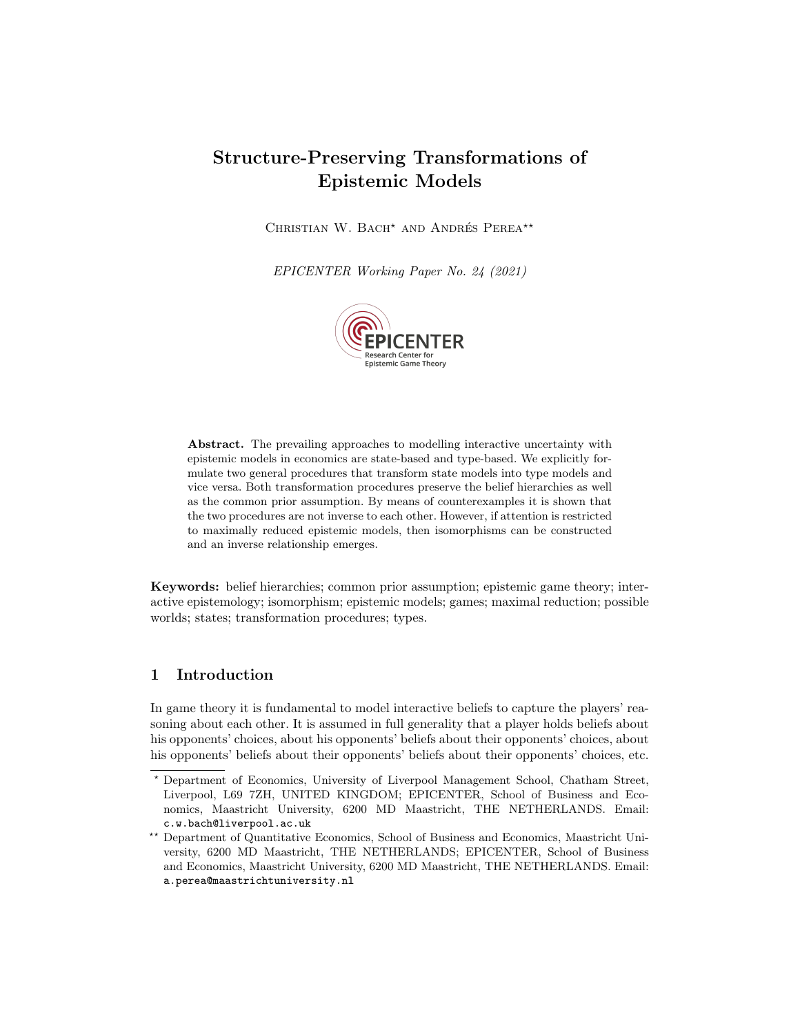# Structure-Preserving Transformations of Epistemic Models

CHRISTIAN W. BACH<sup>\*</sup> AND ANDRÉS PEREA<sup>\*\*</sup>

EPICENTER Working Paper No. 24 (2021)



Abstract. The prevailing approaches to modelling interactive uncertainty with epistemic models in economics are state-based and type-based. We explicitly formulate two general procedures that transform state models into type models and vice versa. Both transformation procedures preserve the belief hierarchies as well as the common prior assumption. By means of counterexamples it is shown that the two procedures are not inverse to each other. However, if attention is restricted to maximally reduced epistemic models, then isomorphisms can be constructed and an inverse relationship emerges.

Keywords: belief hierarchies; common prior assumption; epistemic game theory; interactive epistemology; isomorphism; epistemic models; games; maximal reduction; possible worlds; states; transformation procedures; types.

## 1 Introduction

In game theory it is fundamental to model interactive beliefs to capture the players' reasoning about each other. It is assumed in full generality that a player holds beliefs about his opponents' choices, about his opponents' beliefs about their opponents' choices, about his opponents' beliefs about their opponents' beliefs about their opponents' choices, etc.

<sup>?</sup> Department of Economics, University of Liverpool Management School, Chatham Street, Liverpool, L69 7ZH, UNITED KINGDOM; EPICENTER, School of Business and Economics, Maastricht University, 6200 MD Maastricht, THE NETHERLANDS. Email: c.w.bach@liverpool.ac.uk

<sup>\*\*</sup> Department of Quantitative Economics, School of Business and Economics, Maastricht University, 6200 MD Maastricht, THE NETHERLANDS; EPICENTER, School of Business and Economics, Maastricht University, 6200 MD Maastricht, THE NETHERLANDS. Email: a.perea@maastrichtuniversity.nl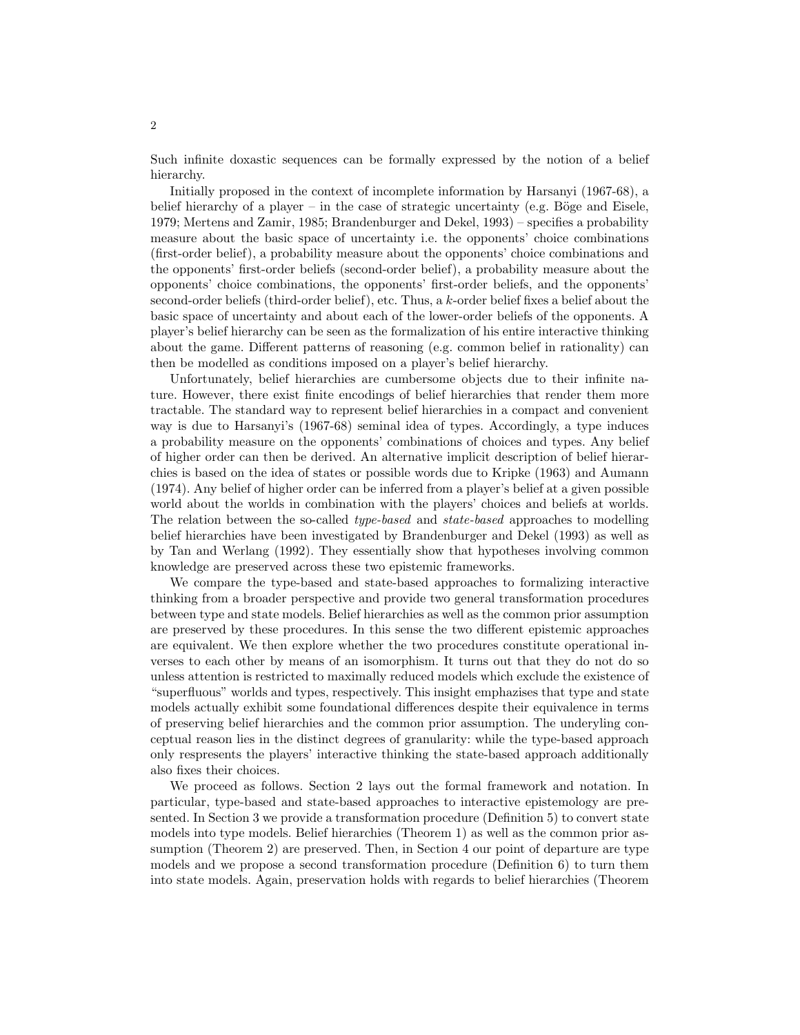Such infinite doxastic sequences can be formally expressed by the notion of a belief hierarchy.

Initially proposed in the context of incomplete information by Harsanyi (1967-68), a belief hierarchy of a player – in the case of strategic uncertainty (e.g. Böge and Eisele, 1979; Mertens and Zamir, 1985; Brandenburger and Dekel, 1993) – specifies a probability measure about the basic space of uncertainty i.e. the opponents' choice combinations (first-order belief), a probability measure about the opponents' choice combinations and the opponents' first-order beliefs (second-order belief), a probability measure about the opponents' choice combinations, the opponents' first-order beliefs, and the opponents' second-order beliefs (third-order belief), etc. Thus, a k-order belief fixes a belief about the basic space of uncertainty and about each of the lower-order beliefs of the opponents. A player's belief hierarchy can be seen as the formalization of his entire interactive thinking about the game. Different patterns of reasoning (e.g. common belief in rationality) can then be modelled as conditions imposed on a player's belief hierarchy.

Unfortunately, belief hierarchies are cumbersome objects due to their infinite nature. However, there exist finite encodings of belief hierarchies that render them more tractable. The standard way to represent belief hierarchies in a compact and convenient way is due to Harsanyi's (1967-68) seminal idea of types. Accordingly, a type induces a probability measure on the opponents' combinations of choices and types. Any belief of higher order can then be derived. An alternative implicit description of belief hierarchies is based on the idea of states or possible words due to Kripke (1963) and Aumann (1974). Any belief of higher order can be inferred from a player's belief at a given possible world about the worlds in combination with the players' choices and beliefs at worlds. The relation between the so-called type-based and state-based approaches to modelling belief hierarchies have been investigated by Brandenburger and Dekel (1993) as well as by Tan and Werlang (1992). They essentially show that hypotheses involving common knowledge are preserved across these two epistemic frameworks.

We compare the type-based and state-based approaches to formalizing interactive thinking from a broader perspective and provide two general transformation procedures between type and state models. Belief hierarchies as well as the common prior assumption are preserved by these procedures. In this sense the two different epistemic approaches are equivalent. We then explore whether the two procedures constitute operational inverses to each other by means of an isomorphism. It turns out that they do not do so unless attention is restricted to maximally reduced models which exclude the existence of "superfluous" worlds and types, respectively. This insight emphazises that type and state models actually exhibit some foundational differences despite their equivalence in terms of preserving belief hierarchies and the common prior assumption. The underyling conceptual reason lies in the distinct degrees of granularity: while the type-based approach only respresents the players' interactive thinking the state-based approach additionally also fixes their choices.

We proceed as follows. Section 2 lays out the formal framework and notation. In particular, type-based and state-based approaches to interactive epistemology are presented. In Section 3 we provide a transformation procedure (Definition 5) to convert state models into type models. Belief hierarchies (Theorem 1) as well as the common prior assumption (Theorem 2) are preserved. Then, in Section 4 our point of departure are type models and we propose a second transformation procedure (Definition 6) to turn them into state models. Again, preservation holds with regards to belief hierarchies (Theorem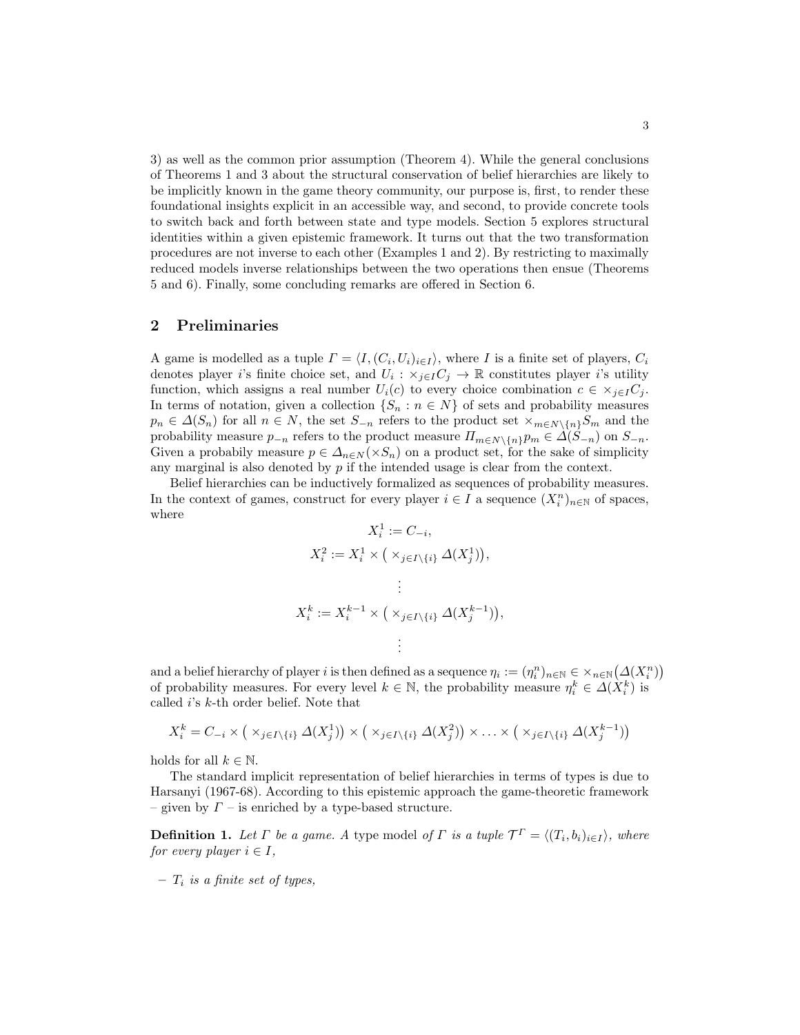3) as well as the common prior assumption (Theorem 4). While the general conclusions of Theorems 1 and 3 about the structural conservation of belief hierarchies are likely to be implicitly known in the game theory community, our purpose is, first, to render these foundational insights explicit in an accessible way, and second, to provide concrete tools to switch back and forth between state and type models. Section 5 explores structural identities within a given epistemic framework. It turns out that the two transformation procedures are not inverse to each other (Examples 1 and 2). By restricting to maximally reduced models inverse relationships between the two operations then ensue (Theorems 5 and 6). Finally, some concluding remarks are offered in Section 6.

#### 2 Preliminaries

A game is modelled as a tuple  $\Gamma = \langle I, (C_i, U_i)_{i \in I} \rangle$ , where I is a finite set of players,  $C_i$ denotes player *i*'s finite choice set, and  $U_i$ :  $\times_{j\in I} C_j \to \mathbb{R}$  constitutes player *i*'s utility function, which assigns a real number  $U_i(c)$  to every choice combination  $c \in \times_{j \in I} C_j$ . In terms of notation, given a collection  $\{S_n : n \in N\}$  of sets and probability measures  $p_n \in \Delta(S_n)$  for all  $n \in N$ , the set  $S_{-n}$  refers to the product set  $\times_{m \in N \setminus \{n\}} S_m$  and the probability measure  $p_{-n}$  refers to the product measure  $\Pi_{m\in N\setminus\{n\}}p_m \in \Delta(S_{-n})$  on  $S_{-n}$ . Given a probabily measure  $p \in \Delta_{n \in N}(\times S_n)$  on a product set, for the sake of simplicity any marginal is also denoted by  $p$  if the intended usage is clear from the context.

Belief hierarchies can be inductively formalized as sequences of probability measures. In the context of games, construct for every player  $i \in I$  a sequence  $(X_i^n)_{n \in \mathbb{N}}$  of spaces, where

$$
X_i^1 := C_{-i},
$$
  
\n
$$
X_i^2 := X_i^1 \times \left( \times_{j \in I \setminus \{i\}} \Delta(X_j^1) \right),
$$
  
\n
$$
\vdots
$$
  
\n
$$
X_i^k := X_i^{k-1} \times \left( \times_{j \in I \setminus \{i\}} \Delta(X_j^{k-1}) \right),
$$
  
\n
$$
\vdots
$$

and a belief hierarchy of player i is then defined as a sequence  $\eta_i := (\eta_i^n)_{n \in \mathbb{N}} \in \times_{n \in \mathbb{N}} (\Delta(X_i^n))$ of probability measures. For every level  $k \in \mathbb{N}$ , the probability measure  $\eta_i^k \in \Delta(X_i^k)$  is called i's k-th order belief. Note that

$$
X_i^k = C_{-i} \times (\times_{j \in I \setminus \{i\}} \Delta(X_j^1)) \times (\times_{j \in I \setminus \{i\}} \Delta(X_j^2)) \times \ldots \times (\times_{j \in I \setminus \{i\}} \Delta(X_j^{k-1}))
$$

holds for all  $k \in \mathbb{N}$ .

The standard implicit representation of belief hierarchies in terms of types is due to Harsanyi (1967-68). According to this epistemic approach the game-theoretic framework – given by  $\Gamma$  – is enriched by a type-based structure.

**Definition 1.** Let  $\Gamma$  be a game. A type model of  $\Gamma$  is a tuple  $\mathcal{T}^{\Gamma} = \langle (T_i, b_i)_{i \in I} \rangle$ , where for every player  $i \in I$ ,

 $- T_i$  is a finite set of types.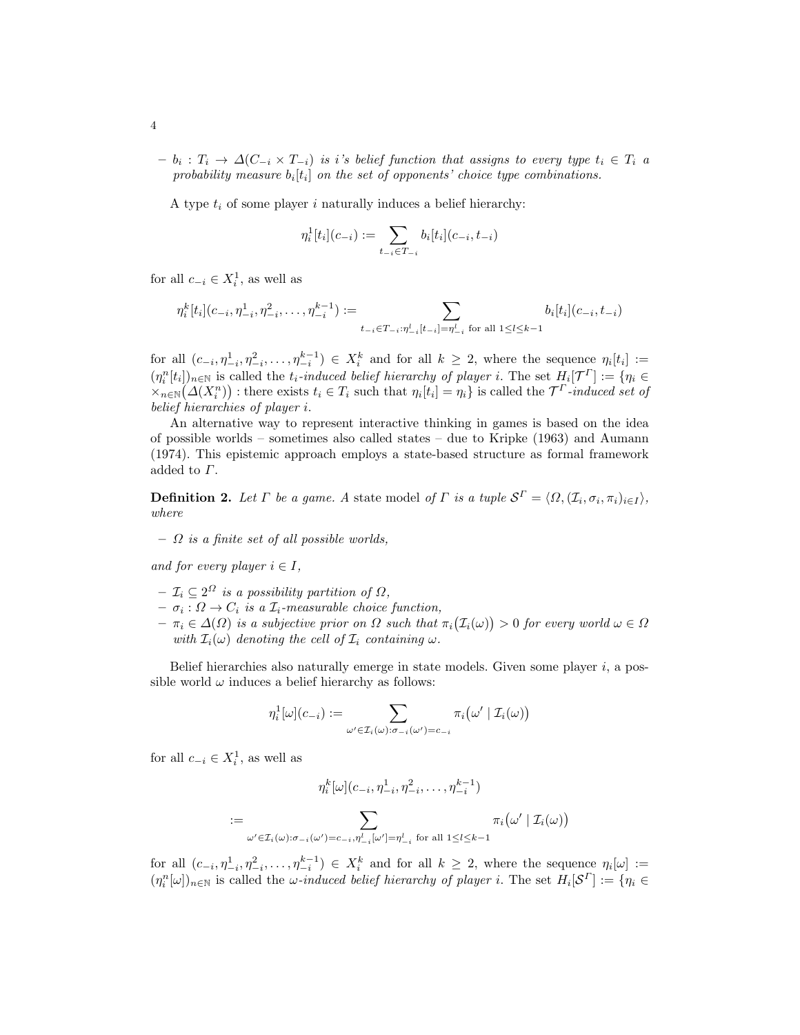$b_i$  :  $T_i$   $\rightarrow$   $\Delta(C_{-i} \times T_{-i})$  is i's belief function that assigns to every type  $t_i \in T_i$  a probability measure  $b_i[t_i]$  on the set of opponents' choice type combinations.

A type  $t_i$  of some player i naturally induces a belief hierarchy:

$$
\eta^1_i[t_i](c_{-i}) := \sum_{t_{-i} \in T_{-i}} b_i[t_i](c_{-i}, t_{-i})
$$

for all  $c_{-i} \in X_i^1$ , as well as

$$
\eta_i^k[t_i](c_{-i}, \eta_{-i}^1, \eta_{-i}^2, \dots, \eta_{-i}^{k-1}) := \sum_{t_{-i} \in T_{-i} : \eta_{-i}^l[t_{-i}] = \eta_{-i}^l \text{ for all } 1 \leq l \leq k-1} b_i[t_i](c_{-i}, t_{-i})
$$

for all  $(c_{-i}, \eta_{-i}^1, \eta_{-i}^2, \ldots, \eta_{-i}^{k-1}) \in X_i^k$  and for all  $k \geq 2$ , where the sequence  $\eta_i[t_i] :=$  $(\eta_i^n[t_i])_{n\in\mathbb{N}}$  is called the  $t_i$ -induced belief hierarchy of player i. The set  $H_i[\mathcal{T}^{\Gamma}] := \{\eta_i \in$  $\{X_{n\in\mathbb{N}}(\Delta(X_i^n))\}$ : there exists  $t_i \in T_i$  such that  $\eta_i[t_i] = \eta_i\}$  is called the  $\mathcal{T}^T$ -induced set of belief hierarchies of player i.

An alternative way to represent interactive thinking in games is based on the idea of possible worlds – sometimes also called states – due to Kripke (1963) and Aumann (1974). This epistemic approach employs a state-based structure as formal framework added to Γ.

**Definition 2.** Let  $\Gamma$  be a game. A state model of  $\Gamma$  is a tuple  $\mathcal{S}^{\Gamma} = \langle \Omega, (\mathcal{I}_i, \sigma_i, \pi_i)_{i \in I} \rangle$ , where

 $\Omega$  is a finite set of all possible worlds,

and for every player  $i \in I$ ,

- $\mathcal{I}_i \subseteq 2^{\Omega}$  is a possibility partition of  $\Omega$ ,
- $\sigma_i : \Omega \to C_i$  is a  $\mathcal{I}_i$ -measurable choice function,
- $\pi_i \in \Delta(\Omega)$  is a subjective prior on  $\Omega$  such that  $\pi_i(\mathcal{I}_i(\omega)) > 0$  for every world  $\omega \in \Omega$ with  $\mathcal{I}_i(\omega)$  denoting the cell of  $\mathcal{I}_i$  containing  $\omega$ .

Belief hierarchies also naturally emerge in state models. Given some player  $i$ , a possible world  $\omega$  induces a belief hierarchy as follows:

$$
\eta_i^1[\omega](c_{-i}) := \sum_{\omega' \in \mathcal{I}_i(\omega): \sigma_{-i}(\omega') = c_{-i}} \pi_i(\omega' \mid \mathcal{I}_i(\omega))
$$

for all  $c_{-i} \in X_i^1$ , as well as

$$
\eta_i^k[\omega](c_{-i}, \eta_{-i}^1, \eta_{-i}^2, \dots, \eta_{-i}^{k-1})
$$
  
:= 
$$
\sum_{\omega' \in \mathcal{I}_i(\omega): \sigma_{-i}(\omega') = c_{-i}, \eta_{-i}^1[\omega'] = \eta_{-i}^1 \text{ for all } 1 \leq l \leq k-1} \pi_i(\omega' | \mathcal{I}_i(\omega))
$$

for all  $(c_{-i}, \eta_{-i}^1, \eta_{-i}^2, \ldots, \eta_{-i}^{k-1}) \in X_i^k$  and for all  $k \geq 2$ , where the sequence  $\eta_i[\omega] :=$  $(\eta_i^n[\omega])_{n\in\mathbb{N}}$  is called the  $\omega$ -induced belief hierarchy of player i. The set  $H_i[\mathcal{S}^{\Gamma}] := \{\eta_i \in$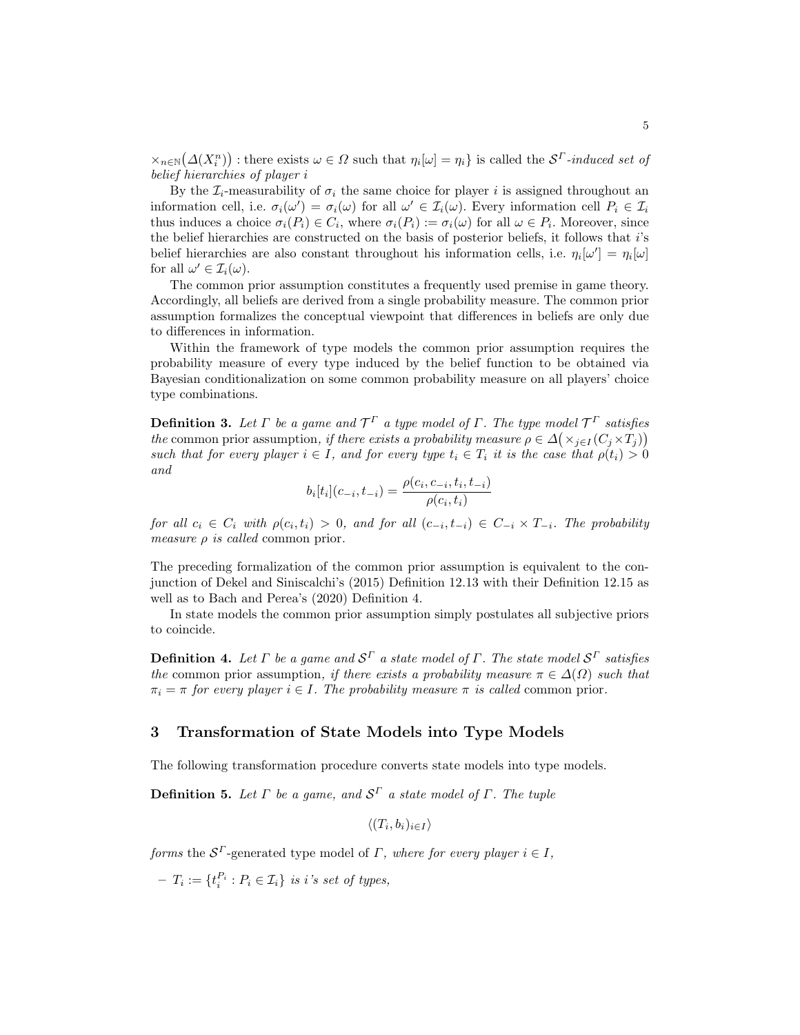$\{X_{n\in\mathbb{N}}(\Delta(X_i^n))\}$ : there exists  $\omega\in\Omega$  such that  $\eta_i[\omega]=\eta_i\}$  is called the  $\mathcal{S}^{\Gamma}$ -induced set of belief hierarchies of player i

By the  $\mathcal{I}_i$ -measurability of  $\sigma_i$  the same choice for player i is assigned throughout an information cell, i.e.  $\sigma_i(\omega') = \sigma_i(\omega)$  for all  $\omega' \in \mathcal{I}_i(\omega)$ . Every information cell  $P_i \in \mathcal{I}_i$ thus induces a choice  $\sigma_i(P_i) \in C_i$ , where  $\sigma_i(P_i) := \sigma_i(\omega)$  for all  $\omega \in P_i$ . Moreover, since the belief hierarchies are constructed on the basis of posterior beliefs, it follows that i's belief hierarchies are also constant throughout his information cells, i.e.  $\eta_i[\omega'] = \eta_i[\omega]$ for all  $\omega' \in \mathcal{I}_i(\omega)$ .

The common prior assumption constitutes a frequently used premise in game theory. Accordingly, all beliefs are derived from a single probability measure. The common prior assumption formalizes the conceptual viewpoint that differences in beliefs are only due to differences in information.

Within the framework of type models the common prior assumption requires the probability measure of every type induced by the belief function to be obtained via Bayesian conditionalization on some common probability measure on all players' choice type combinations.

**Definition 3.** Let  $\Gamma$  be a game and  $\mathcal{T}^{\Gamma}$  a type model of  $\Gamma$ . The type model  $\mathcal{T}^{\Gamma}$  satisfies the common prior assumption, if there exists a probability measure  $\rho \in \Delta(\times_{j\in I}(C_j\times T_j))$ such that for every player  $i \in I$ , and for every type  $t_i \in T_i$  it is the case that  $\rho(t_i) > 0$ and

$$
b_i[t_i](c_{-i}, t_{-i}) = \frac{\rho(c_i, c_{-i}, t_i, t_{-i})}{\rho(c_i, t_i)}
$$

for all  $c_i \in C_i$  with  $\rho(c_i, t_i) > 0$ , and for all  $(c_{-i}, t_{-i}) \in C_{-i} \times T_{-i}$ . The probability measure  $\rho$  is called common prior.

The preceding formalization of the common prior assumption is equivalent to the conjunction of Dekel and Siniscalchi's (2015) Definition 12.13 with their Definition 12.15 as well as to Bach and Perea's (2020) Definition 4.

In state models the common prior assumption simply postulates all subjective priors to coincide.

**Definition 4.** Let  $\Gamma$  be a game and  $\mathcal{S}^{\Gamma}$  a state model of  $\Gamma$ . The state model  $\mathcal{S}^{\Gamma}$  satisfies the common prior assumption, if there exists a probability measure  $\pi \in \Delta(\Omega)$  such that  $\pi_i = \pi$  for every player  $i \in I$ . The probability measure  $\pi$  is called common prior.

### 3 Transformation of State Models into Type Models

The following transformation procedure converts state models into type models.

**Definition 5.** Let  $\Gamma$  be a game, and  $\mathcal{S}^{\Gamma}$  a state model of  $\Gamma$ . The tuple

 $\langle (T_i, b_i)_{i \in I} \rangle$ 

forms the  $S^{\Gamma}$ -generated type model of  $\Gamma$ , where for every player  $i \in I$ ,

 $-T_i := \{t_i^{P_i} : P_i \in \mathcal{I}_i\}$  is i's set of types,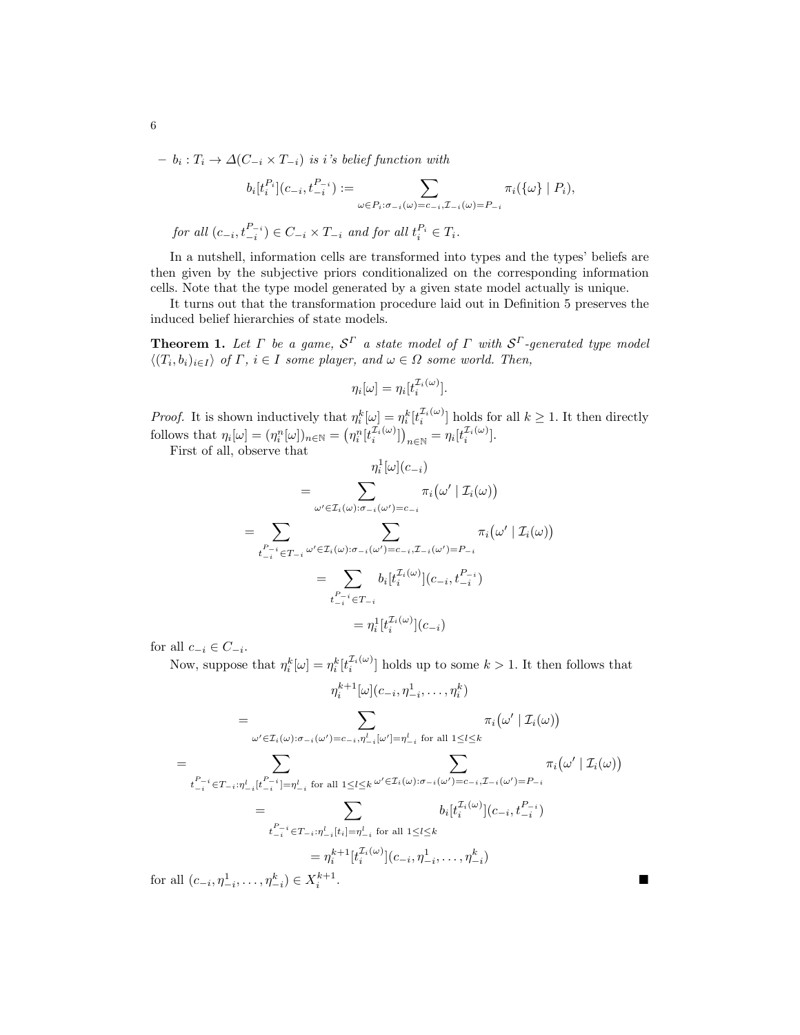$- b_i : T_i \to \Delta(C_{-i} \times T_{-i})$  is i's belief function with

$$
b_i[t_i^{P_i}](c_{-i}, t_{-i}^{P_{-i}}) := \sum_{\omega \in P_i : \sigma_{-i}(\omega) = c_{-i}, \mathcal{I}_{-i}(\omega) = P_{-i}} \pi_i(\{\omega\} \mid P_i),
$$
  
for all  $(c_{-i}, t_{-i}^{P_{-i}}) \in C_{-i} \times T_{-i}$  and for all  $t_i^{P_i} \in T_i$ .

In a nutshell, information cells are transformed into types and the types' beliefs are then given by the subjective priors conditionalized on the corresponding information cells. Note that the type model generated by a given state model actually is unique.

It turns out that the transformation procedure laid out in Definition 5 preserves the induced belief hierarchies of state models.

**Theorem 1.** Let  $\Gamma$  be a game,  $\mathcal{S}^{\Gamma}$  a state model of  $\Gamma$  with  $\mathcal{S}^{\Gamma}$ -generated type model  $\langle (T_i, b_i)_{i \in I} \rangle$  of  $\Gamma$ ,  $i \in I$  some player, and  $\omega \in \Omega$  some world. Then,

$$
\eta_i[\omega] = \eta_i[t_i^{\mathcal{I}_i(\omega)}].
$$

*Proof.* It is shown inductively that  $\eta_i^k[\omega] = \eta_i^k[t_i^{(1)}\omega]$  holds for all  $k \geq 1$ . It then directly follows that  $\eta_i[\omega] = (\eta_i^n[\omega])_{n \in \mathbb{N}} = (\eta_i^n[t_i^{T_i(\omega)}])_{n \in \mathbb{N}} = \eta_i[t_i^{T_i(\omega)}].$ 

First of all, observe that

$$
\eta_i^1[\omega](c_{-i})
$$
\n
$$
= \sum_{\omega' \in \mathcal{I}_i(\omega): \sigma_{-i}(\omega') = c_{-i}} \pi_i(\omega' | \mathcal{I}_i(\omega))
$$
\n
$$
= \sum_{t_{-i}^{P_{-i}} \in T_{-i}} \sum_{\omega' \in \mathcal{I}_i(\omega): \sigma_{-i}(\omega') = c_{-i}, \mathcal{I}_{-i}(\omega') = P_{-i}} \pi_i(\omega' | \mathcal{I}_i(\omega))
$$
\n
$$
= \sum_{t_{-i}^{P_{-i}} \in T_{-i}} b_i[t_i^{\mathcal{I}_i(\omega)}](c_{-i}, t_{-i}^{P_{-i}})
$$
\n
$$
= \eta_i^1[t_i^{\mathcal{I}_i(\omega)}](c_{-i})
$$

for all  $c_{-i} \in C_{-i}$ .

Now, suppose that  $\eta_i^k[\omega] = \eta_i^k[t_i^{T_i(\omega)}]$  holds up to some  $k > 1$ . It then follows that

$$
\eta_{i}^{k+1}[\omega](c_{-i}, \eta_{-i}^{1}, \dots, \eta_{i}^{k})
$$
\n
$$
= \sum_{\omega' \in \mathcal{I}_{i}(\omega): \sigma_{-i}(\omega') = c_{-i}, \eta_{-i}^{l}[\omega'] = \eta_{-i}^{l} \text{ for all } 1 \leq l \leq k} \pi_{i}(\omega' | \mathcal{I}_{i}(\omega))
$$
\n
$$
= \sum_{t_{-i}^{P-i} \in T_{-i}: \eta_{-i}^{l}[t_{-i}^{P-i}] = \eta_{-i}^{l} \text{ for all } 1 \leq l \leq k} \sum_{\omega' \in \mathcal{I}_{i}(\omega): \sigma_{-i}(\omega') = c_{-i}, \mathcal{I}_{-i}(\omega') = P_{-i}} \pi_{i}(\omega' | \mathcal{I}_{i}(\omega))
$$
\n
$$
= \sum_{t_{-i}^{P-i} \in T_{-i}: \eta_{-i}^{l}[t_{i}] = \eta_{-i}^{l} \text{ for all } 1 \leq l \leq k} b_{i}[t_{i}^{\mathcal{I}_{i}(\omega)}](c_{-i}, t_{-i}^{P-i})
$$
\n
$$
= \eta_{i}^{k+1}[t_{i}^{\mathcal{I}_{i}(\omega)}](c_{-i}, \eta_{-i}^{1}, \dots, \eta_{-i}^{k})
$$
\n
$$
\text{all } (c_{-i}, \eta_{-i}^{1}, \dots, \eta_{-i}^{k}) \in X_{i}^{k+1}.
$$

for all  $(c_{-i}, \eta_{-i}^1, \ldots, \eta_{-i}^k) \in X_i^{k+1}$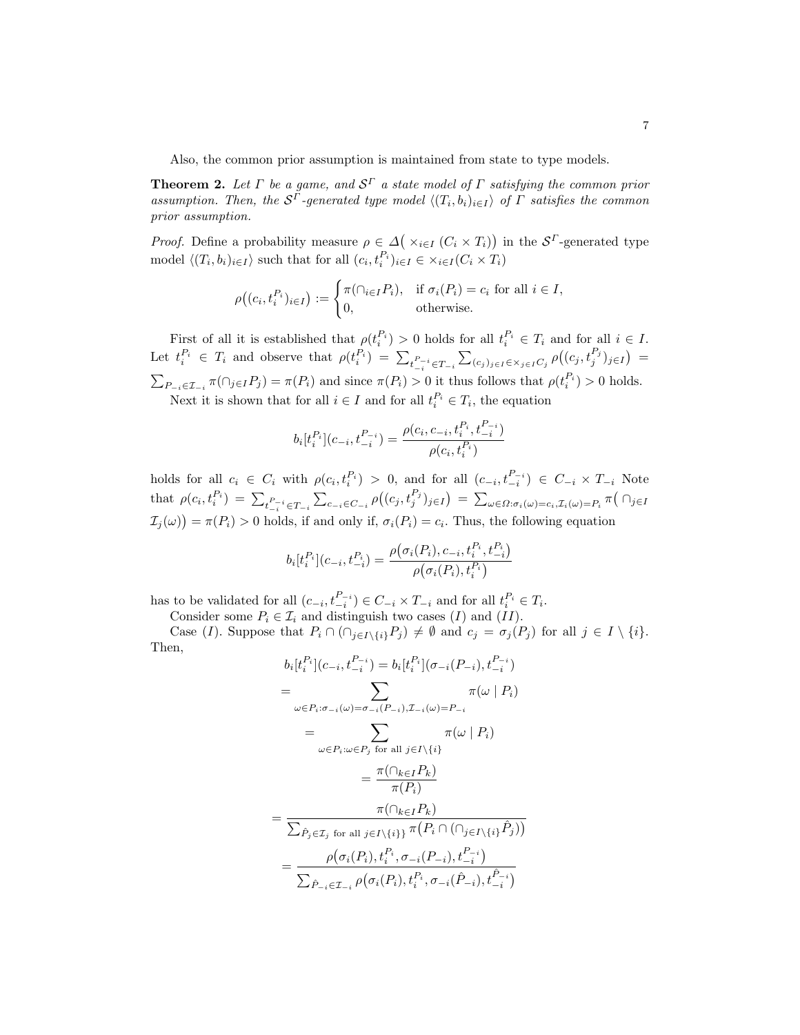Also, the common prior assumption is maintained from state to type models.

**Theorem 2.** Let  $\Gamma$  be a game, and  $\mathcal{S}^{\Gamma}$  a state model of  $\Gamma$  satisfying the common prior assumption. Then, the  $S^{\Gamma}$ -generated type model  $\langle (T_i, b_i)_{i \in I} \rangle$  of  $\Gamma$  satisfies the common prior assumption.

*Proof.* Define a probability measure  $\rho \in \Delta(\times_{i \in I} (C_i \times T_i))$  in the  $S^{\Gamma}$ -generated type model  $\langle (T_i, b_i)_{i \in I} \rangle$  such that for all  $(c_i, t_i^{P_i})_{i \in I} \in \times_{i \in I} (C_i \times T_i)$ 

$$
\rho((c_i, t_i^{P_i})_{i \in I}) := \begin{cases} \pi(\cap_{i \in I} P_i), & \text{if } \sigma_i(P_i) = c_i \text{ for all } i \in I, \\ 0, & \text{otherwise.} \end{cases}
$$

First of all it is established that  $\rho(t_i^{P_i}) > 0$  holds for all  $t_i^{P_i} \in T_i$  and for all  $i \in I$ . Let  $t_i^{P_i} \in T_i$  and observe that  $\rho(t_i^{P_i}) = \sum_{t_{-i}^P \in T_{-i}} \sum_{(c_j)_{j \in I} \in \times_{j \in I} C_j} \rho((c_j, t_j^{P_j})_{j \in I}) =$  $\sum_{P_{-i} \in \mathcal{I}_{-i}} \pi(\bigcap_{j \in I} P_j) = \pi(P_i)$  and since  $\pi(P_i) > 0$  it thus follows that  $\rho(t_i^{P_i}) > 0$  holds.

Next it is shown that for all  $i \in I$  and for all  $t_i^{P_i} \in T_i$ , the equation

$$
b_i[t_i^{P_i}](c_{-i}, t_{-i}^{P_{-i}}) = \frac{\rho(c_i, c_{-i}, t_i^{P_i}, t_{-i}^{P_{-i}})}{\rho(c_i, t_i^{P_i})}
$$

holds for all  $c_i \in C_i$  with  $\rho(c_i, t_i^{P_i}) > 0$ , and for all  $(c_{-i}, t_{-i}^{P_{-i}}) \in C_{-i} \times T_{-i}$  Note  $_i$  )  $>$  0, and ior an  $(c_{-i}, c_{-i})$ that  $\rho(c_i, t_i^{P_i}) = \sum_{t_{-i}^P \in T_{-i}} \sum_{c_{-i} \in C_{-i}} \rho((c_j, t_j^{P_j})_{j \in I}) = \sum_{\omega \in \Omega: \sigma_i(\omega) = c_i, \mathcal{I}_i(\omega) = P_i} \pi(\bigcap_{j \in I} \mathcal{I}_j)$  $\mathcal{I}_j(\omega)$  =  $\pi(P_i) > 0$  holds, if and only if,  $\sigma_i(P_i) = c_i$ . Thus, the following equation

$$
b_i[t_i^{P_i}](c_{-i}, t_{-i}^{P_i}) = \frac{\rho(\sigma_i(P_i), c_{-i}, t_i^{P_i}, t_{-i}^{P_i})}{\rho(\sigma_i(P_i), t_i^{P_i})}
$$

has to be validated for all  $(c_{-i}, t_{-i}^{P_{-i}}) \in C_{-i} \times T_{-i}$  and for all  $t_i^{P_i} \in T_i$ .

Consider some  $P_i \in \mathcal{I}_i$  and distinguish two cases  $(I)$  and  $(II)$ .

Case (I). Suppose that  $P_i \cap (\bigcap_{j \in I \setminus \{i\}} P_j) \neq \emptyset$  and  $c_j = \sigma_j(P_j)$  for all  $j \in I \setminus \{i\}$ . Then,

$$
b_i[t_i^{P_i}](c_{-i}, t_{-i}^{P_{-i}}) = b_i[t_i^{P_i}](\sigma_{-i}(P_{-i}), t_{-i}^{P_{-i}})
$$
  
\n
$$
= \sum_{\omega \in P_i : \sigma_{-i}(\omega) = \sigma_{-i}(P_{-i}), \mathcal{I}_{-i}(\omega) = P_{-i}} \pi(\omega | P_i)
$$
  
\n
$$
= \sum_{\omega \in P_i : \omega \in P_j \text{ for all } j \in I \setminus \{i\}} \pi(\omega | P_i)
$$
  
\n
$$
= \frac{\pi(\cap_{k \in I} P_k)}{\pi(P_i)}
$$
  
\n
$$
= \frac{\pi(\cap_{k \in I} P_k)}{\sum_{\hat{P}_j \in \mathcal{I}_j \text{ for all } j \in I \setminus \{i\}\}} \pi(P_i \cap (\cap_{j \in I \setminus \{i\}} \hat{P}_j))}
$$
  
\n
$$
= \frac{\rho(\sigma_i(P_i), t_i^{P_i}, \sigma_{-i}(P_{-i}), t_{-i}^{P_{-i}})}{\sum_{\hat{P}_{-i} \in \mathcal{I}_{-i}} \rho(\sigma_i(P_i), t_i^{P_i}, \sigma_{-i}(\hat{P}_{-i}), t_{-i}^{\hat{P}_{-i}})}
$$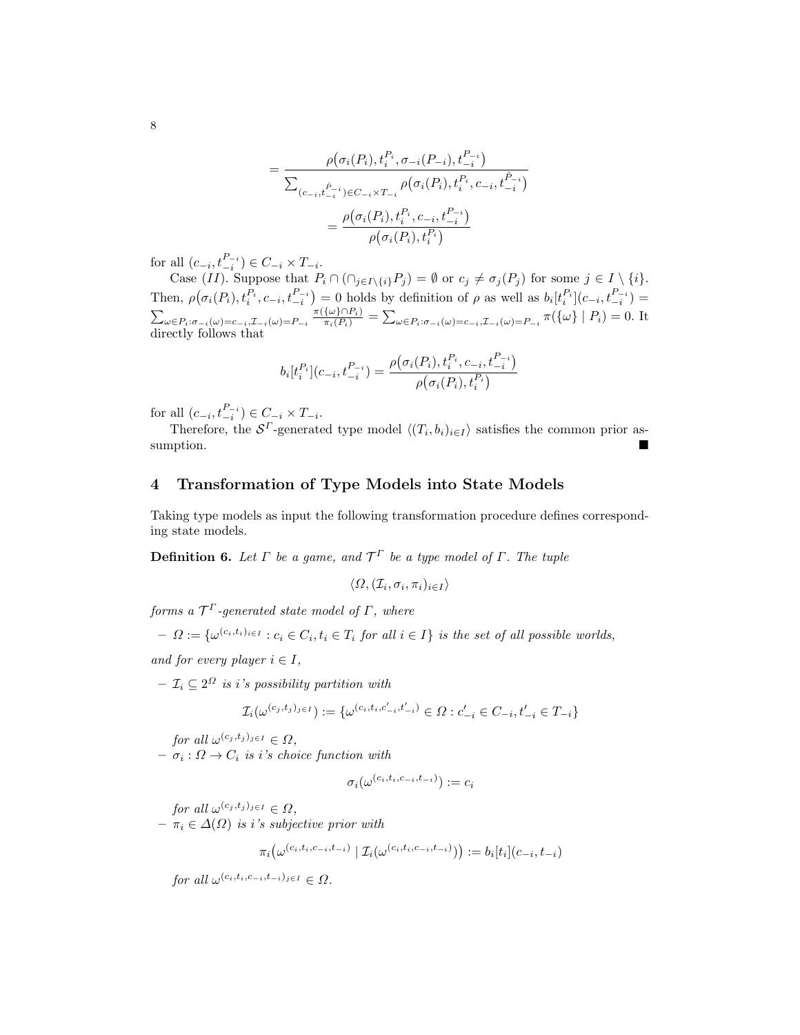$$
= \frac{\rho(\sigma_i(P_i), t_i^{P_i}, \sigma_{-i}(P_{-i}), t_{-i}^{P_{-i}})}{\sum_{(c_{-i}, t_{-i}^{P_{-i}}) \in C_{-i} \times T_{-i}} \rho(\sigma_i(P_i), t_i^{P_i}, c_{-i}, t_{-i}^{P_{-i}})}
$$

$$
= \frac{\rho(\sigma_i(P_i), t_i^{P_i}, c_{-i}, t_{-i}^{P_{-i}})}{\rho(\sigma_i(P_i), t_i^{P_i})}
$$

for all  $(c_{-i}, t_{-i}^{P_{-i}}) \in C_{-i} \times T_{-i}$ .

Case  $(II)$ . Suppose that  $P_i \cap (\bigcap_{j \in I \setminus \{i\}} P_j) = \emptyset$  or  $c_j \neq \sigma_j(P_j)$  for some  $j \in I \setminus \{i\}.$ Then,  $\rho(\sigma_i(P_i), t_i^{P_i}, c_{-i}, t_{-i}^{P_{-i}}) = 0$  holds by definition of  $\rho$  as well as  $b_i[t_i^{P_i}](c_{-i}, t_{-i}^{P_{-i}}) =$  $\sum_{\omega \in P_i: \sigma_{-i}(\omega) = c_{-i}, \mathcal{I}_{-i}(\omega) = P_{-i}} \frac{\pi(\{\omega\} \cap P_i)}{\pi_i(P_i)} = \sum_{\omega \in P_i: \sigma_{-i}(\omega) = c_{-i}, \mathcal{I}_{-i}(\omega) = P_{-i}} \pi(\{\omega\} | P_i) = 0.$  It directly follows that

$$
b_i[t_i^{P_i}](c_{-i}, t_{-i}^{P_{-i}}) = \frac{\rho(\sigma_i(P_i), t_i^{P_i}, c_{-i}, t_{-i}^{P_{-i}})}{\rho(\sigma_i(P_i), t_i^{P_i})}
$$

for all  $(c_{-i}, t_{-i}^{P_{-i}}) \in C_{-i} \times T_{-i}$ .

Therefore, the  $S^{\Gamma}$ -generated type model  $\langle (T_i, b_i)_{i \in I} \rangle$  satisfies the common prior assumption.

#### 4 Transformation of Type Models into State Models

Taking type models as input the following transformation procedure defines corresponding state models.

**Definition 6.** Let  $\Gamma$  be a game, and  $\mathcal{T}^{\Gamma}$  be a type model of  $\Gamma$ . The tuple

$$
\langle \Omega, (\mathcal{I}_i, \sigma_i, \pi_i)_{i \in I} \rangle
$$

forms a  $\mathcal{T}^\Gamma$ -generated state model of  $\varGamma,$  where

$$
- \ \Omega := \{ \omega^{(c_i, t_i)_{i \in I}} : c_i \in C_i, t_i \in T_i \text{ for all } i \in I \} \text{ is the set of all possible worlds,}
$$

and for every player  $i \in I$ ,

 $\mathcal{I}_i \subseteq 2^{\Omega}$  is i's possibility partition with

$$
\mathcal{I}_i(\omega^{(c_j,t_j)_{j\in I}}):=\{\omega^{(c_i,t_i,c'_{-i},t'_{-i})}\in\varOmega:c'_{-i}\in C_{-i},t'_{-i}\in T_{-i}\}
$$

for all  $\omega^{(c_j,t_j)_{j\in I}} \in \Omega$ ,

 $- \sigma_i : \Omega \to C_i$  is i's choice function with

$$
\sigma_i(\omega^{(c_i,t_i,c_{-i},t_{-i})}) := c_i
$$

for all  $\omega^{(c_j, t_j)_{j\in I}} \in \Omega$ ,  $- \pi_i \in \Delta(\Omega)$  is i's subjective prior with

$$
\pi_i\big(\omega^{(c_i,t_i,c_{-i},t_{-i})}\mid \mathcal{I}_i(\omega^{(c_i,t_i,c_{-i},t_{-i})})\big):=b_i[t_i](c_{-i},t_{-i})
$$

 $for \ all \ \omega^{(c_i,t_i,c_{-i},t_{-i})_{j\in I}} \in \Omega.$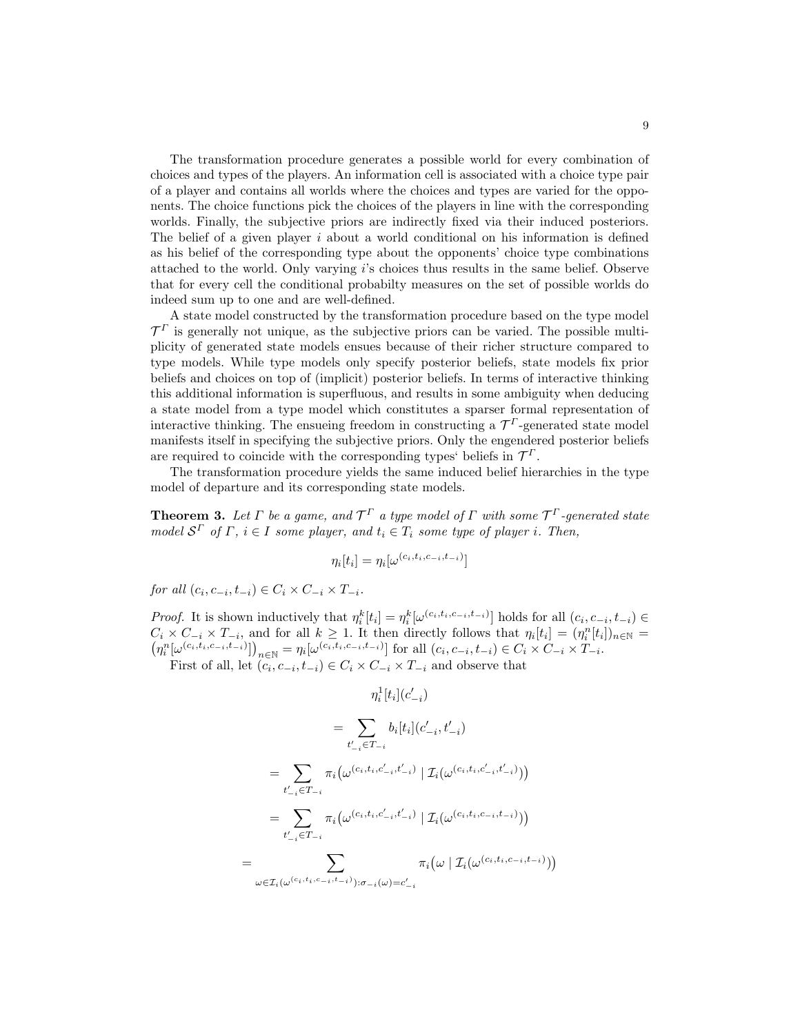The transformation procedure generates a possible world for every combination of choices and types of the players. An information cell is associated with a choice type pair of a player and contains all worlds where the choices and types are varied for the opponents. The choice functions pick the choices of the players in line with the corresponding worlds. Finally, the subjective priors are indirectly fixed via their induced posteriors. The belief of a given player  $i$  about a world conditional on his information is defined as his belief of the corresponding type about the opponents' choice type combinations attached to the world. Only varying i's choices thus results in the same belief. Observe that for every cell the conditional probabilty measures on the set of possible worlds do indeed sum up to one and are well-defined.

A state model constructed by the transformation procedure based on the type model  $\mathcal{T}^{\Gamma}$  is generally not unique, as the subjective priors can be varied. The possible multiplicity of generated state models ensues because of their richer structure compared to type models. While type models only specify posterior beliefs, state models fix prior beliefs and choices on top of (implicit) posterior beliefs. In terms of interactive thinking this additional information is superfluous, and results in some ambiguity when deducing a state model from a type model which constitutes a sparser formal representation of interactive thinking. The ensueing freedom in constructing a  $\mathcal{T}^{\Gamma}$ -generated state model manifests itself in specifying the subjective priors. Only the engendered posterior beliefs are required to coincide with the corresponding types' beliefs in  $\mathcal{T}^{\Gamma}$ .

The transformation procedure yields the same induced belief hierarchies in the type model of departure and its corresponding state models.

**Theorem 3.** Let  $\Gamma$  be a game, and  $\mathcal{T}^{\Gamma}$  a type model of  $\Gamma$  with some  $\mathcal{T}^{\Gamma}$ -generated state model  $S^{\Gamma}$  of  $\Gamma$ ,  $i \in I$  some player, and  $t_i \in T_i$  some type of player i. Then,

$$
\eta_i[t_i] = \eta_i[\omega^{(c_i, t_i, c_{-i}, t_{-i})}]
$$

for all  $(c_i, c_{-i}, t_{-i}) \in C_i \times C_{-i} \times T_{-i}$ .

*Proof.* It is shown inductively that  $\eta_i^k[t_i] = \eta_i^k[\omega^{(c_i, t_i, c_{-i}, t_{-i})}]$  holds for all  $(c_i, c_{-i}, t_{-i}) \in$  $C_i \times C_{-i} \times T_{-i}$ , and for all  $k \geq 1$ . It then directly follows that  $\eta_i[t_i] = (\eta_i^n[t_i])_{n \in \mathbb{N}} =$  $(\eta_i^n[\omega^{(c_i,t_i,c_{-i},t_{-i})}])_{n \in \mathbb{N}} = \eta_i[\omega^{(c_i,t_i,c_{-i},t_{-i})}]$  for all  $(c_i,c_{-i},t_{-i}) \in C_i \times C_{-i} \times T_{-i}$ .

First of all, let  $(c_i, c_{-i}, t_{-i}) \in C_i \times C_{-i} \times T_{-i}$  and observe that

$$
\eta_i^1[t_i](c'_{-i})
$$
\n
$$
= \sum_{t'_{-i} \in T_{-i}} b_i[t_i](c'_{-i}, t'_{-i})
$$
\n
$$
= \sum_{t'_{-i} \in T_{-i}} \pi_i(\omega^{(c_i, t_i, c'_{-i}, t'_{-i})} | \mathcal{I}_i(\omega^{(c_i, t_i, c'_{-i}, t'_{-i})}))
$$
\n
$$
= \sum_{t'_{-i} \in T_{-i}} \pi_i(\omega^{(c_i, t_i, c'_{-i}, t'_{-i})} | \mathcal{I}_i(\omega^{(c_i, t_i, c_{-i}, t - i)}))
$$
\n
$$
= \sum_{\omega \in \mathcal{I}_i(\omega^{(c_i, t_i, c_{-i}, t_{-i})}): \sigma_{-i}(\omega) = c'_{-i}} \pi_i(\omega | \mathcal{I}_i(\omega^{(c_i, t_i, c_{-i}, t - i)}))
$$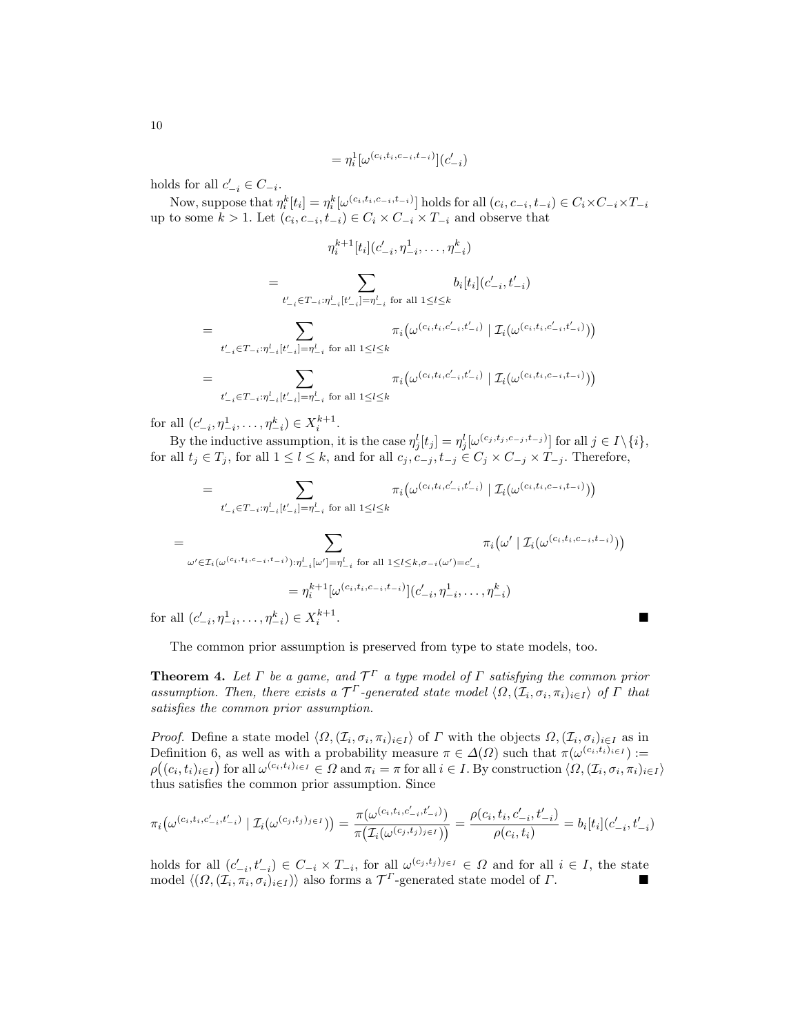$$
= \eta^{1}_{i} [\omega^{(c_{i},t_{i},c_{-i},t_{-i})}](c'_{-i})
$$

holds for all  $c'_{-i} \in C_{-i}$ .

Now, suppose that  $\eta_i^k[t_i] = \eta_i^k[\omega^{(c_i, t_i, c_{-i}, t_{-i})}]$  holds for all  $(c_i, c_{-i}, t_{-i}) \in C_i \times C_{-i} \times T_{-i}$ up to some  $k > 1$ . Let  $(c_i, c_{-i}, t_{-i}) \in C_i \times C_{-i} \times T_{-i}$  and observe that

$$
\eta_i^{k+1}[t_i](c'_{-i}, \eta_{-i}^1, \dots, \eta_{-i}^k)
$$
\n
$$
= \sum_{t'_{-i} \in T_{-i} : \eta_{-i}^l [t'_{-i}] = \eta_{-i}^l \text{ for all } 1 \le l \le k} b_i[t_i](c'_{-i}, t'_{-i})
$$
\n
$$
= \sum_{t'_{-i} \in T_{-i} : \eta_{-i}^l [t'_{-i}] = \eta_{-i}^l \text{ for all } 1 \le l \le k} \pi_i(\omega^{(c_i, t_i, c'_{-i}, t'_{-i})} | \mathcal{I}_i(\omega^{(c_i, t_i, c'_{-i}, t'_{-i})}))
$$
\n
$$
= \sum_{t'_{-i} \in T_{-i} : \eta_{-i}^l [t'_{-i}] = \eta_{-i}^l \text{ for all } 1 \le l \le k} \pi_i(\omega^{(c_i, t_i, c'_{-i}, t'_{-i})} | \mathcal{I}_i(\omega^{(c_i, t_i, c_{-i}, t - i)}))
$$

for all  $(c'_{-i}, \eta^1_{-i}, \dots, \eta^k_{-i}) \in X_i^{k+1}$ .

By the inductive assumption, it is the case  $\eta_j^l[t_j] = \eta_j^l[\omega^{(c_j, t_j, c_{-j}, t_{-j})}]$  for all  $j \in I \setminus \{i\},$ for all  $t_j \in T_j$ , for all  $1 \leq l \leq k$ , and for all  $c_j, c_{-j}, t_{-j} \in C_j \times C_{-j} \times T_{-j}$ . Therefore,

$$
= \sum_{t'_{-i} \in T_{-i} : \eta_{-i}^l [t'_{-i}] = \eta_{-i}^l \text{ for all } 1 \le l \le k} \pi_i \big( \omega^{(c_i, t_i, c'_{-i}, t'_{-i})} \mid \mathcal{I}_i(\omega^{(c_i, t_i, c_{-i}, t_{-i})}) \big)
$$

$$
= \sum_{\omega' \in \mathcal{I}_i(\omega^{(c_i, t_i, c_{-i}, t_{-i})}): \eta_{-i}^l[\omega'] = \eta_{-i}^l \text{ for all } 1 \le l \le k, \sigma_{-i}(\omega') = c'_{-i}} \pi_i(\omega' | \mathcal{I}_i(\omega^{(c_i, t_i, c_{-i}, t_{-i})}))
$$

$$
= \eta_i^{k+1} [\omega^{(c_i, t_i, c_{-i}, t_{-i})}] (c'_{-i}, \eta_{-i}^1, \dots, \eta_{-i}^k)
$$
all  $(c'_{-i}, \eta_{-i}^1, \dots, \eta_{-i}^k) \in X_i^{k+1}.$ 

for all  $(c'_{-i}, \eta^1_{-i}, \ldots, \eta^k_{-i}) \in X_i^{k+1}$ 

The common prior assumption is preserved from type to state models, too.

**Theorem 4.** Let  $\Gamma$  be a game, and  $\mathcal{T}^{\Gamma}$  a type model of  $\Gamma$  satisfying the common prior assumption. Then, there exists a  $\mathcal{T}^{\Gamma}$ -generated state model  $\langle \Omega, (\mathcal{I}_i, \sigma_i, \pi_i)_{i \in I} \rangle$  of  $\Gamma$  that satisfies the common prior assumption.

*Proof.* Define a state model  $\langle \Omega, (\mathcal{I}_i, \sigma_i, \pi_i)_{i \in I} \rangle$  of  $\Gamma$  with the objects  $\Omega, (\mathcal{I}_i, \sigma_i)_{i \in I}$  as in Definition 6, as well as with a probability measure  $\pi \in \Delta(\Omega)$  such that  $\pi(\omega^{(c_i, t_i)_{i \in I}})$ :=  $\rho((c_i, t_i)_{i \in I})$  for all  $\omega^{(c_i, t_i)_{i \in I}} \in \Omega$  and  $\pi_i = \pi$  for all  $i \in I$ . By construction  $\langle \Omega, (\mathcal{I}_i, \sigma_i, \pi_i)_{i \in I} \rangle$ thus satisfies the common prior assumption. Since

$$
\pi_i\big(\omega^{(c_i,t_i,c'_{-i},t'_{-i})}\mid \mathcal{I}_i(\omega^{(c_j,t_j)_{j\in I}})\big)=\frac{\pi(\omega^{(c_i,t_i,c'_{-i},t'_{-i})})}{\pi\big(\mathcal{I}_i(\omega^{(c_j,t_j)_{j\in I}})\big)}=\frac{\rho(c_i,t_i,c'_{-i},t'_{-i})}{\rho(c_i,t_i)}=b_i[t_i](c'_{-i},t'_{-i})
$$

holds for all  $(c'_{-i}, t'_{-i}) \in C_{-i} \times T_{-i}$ , for all  $\omega^{(c_j, t_j)_{j \in I}} \in \Omega$  and for all  $i \in I$ , the state model  $\langle (\Omega, (\mathcal{I}_i, \pi_i, \sigma_i)_{i \in I}) \rangle$  also forms a  $\mathcal{T}^{\Gamma}$ -generated state model of  $\Gamma$ .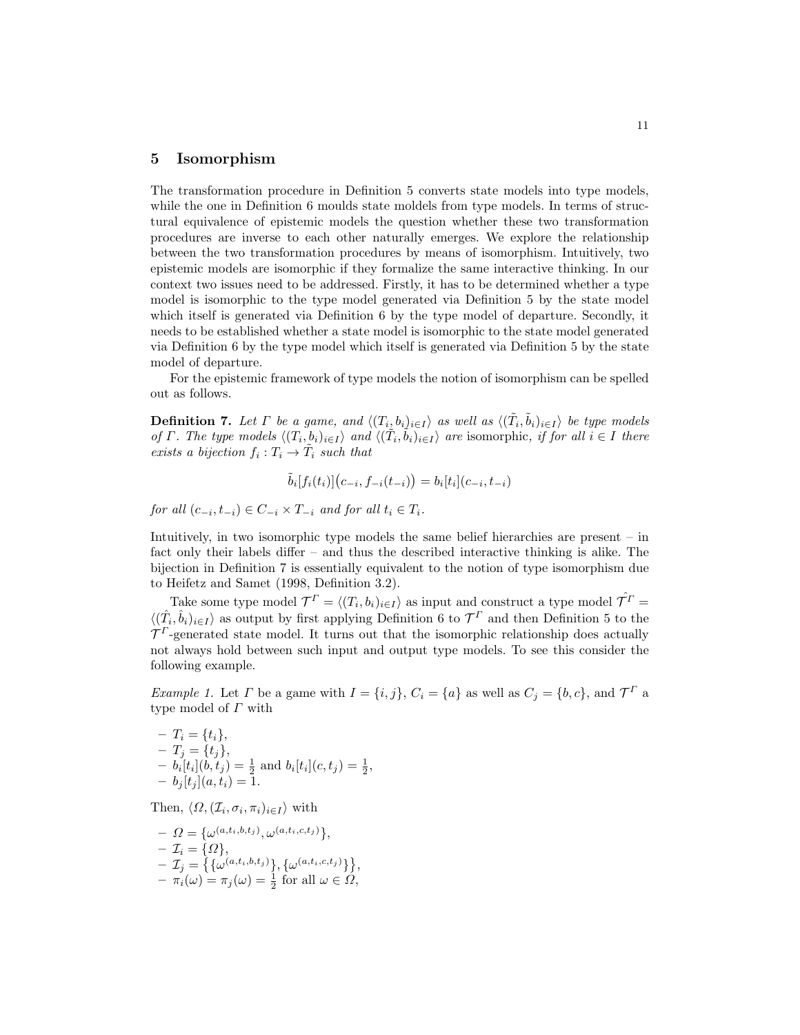#### 5 Isomorphism

The transformation procedure in Definition 5 converts state models into type models, while the one in Definition 6 moulds state moldels from type models. In terms of structural equivalence of epistemic models the question whether these two transformation procedures are inverse to each other naturally emerges. We explore the relationship between the two transformation procedures by means of isomorphism. Intuitively, two epistemic models are isomorphic if they formalize the same interactive thinking. In our context two issues need to be addressed. Firstly, it has to be determined whether a type model is isomorphic to the type model generated via Definition 5 by the state model which itself is generated via Definition 6 by the type model of departure. Secondly, it needs to be established whether a state model is isomorphic to the state model generated via Definition 6 by the type model which itself is generated via Definition 5 by the state model of departure.

For the epistemic framework of type models the notion of isomorphism can be spelled out as follows.

**Definition 7.** Let  $\Gamma$  be a game, and  $\langle (T_i, b_i)_{i \in I} \rangle$  as well as  $\langle (\tilde{T}_i, \tilde{b}_i)_{i \in I} \rangle$  be type models of  $\Gamma$ . The type models  $\langle (T_i, b_i)_{i \in I} \rangle$  and  $\langle (T_i, b_i)_{i \in I} \rangle$  are isomorphic, if for all  $i \in I$  there exists a bijection  $f_i: T_i \to \tilde{T}_i$  such that

$$
\tilde{b}_i[f_i(t_i)](c_{-i}, f_{-i}(t_{-i})) = b_i[t_i](c_{-i}, t_{-i})
$$

for all  $(c_{-i}, t_{-i}) \in C_{-i} \times T_{-i}$  and for all  $t_i \in T_i$ .

Intuitively, in two isomorphic type models the same belief hierarchies are present – in fact only their labels differ – and thus the described interactive thinking is alike. The bijection in Definition 7 is essentially equivalent to the notion of type isomorphism due to Heifetz and Samet (1998, Definition 3.2).

Take some type model  $\mathcal{T}^{\Gamma} = \langle (T_i, b_i)_{i \in I} \rangle$  as input and construct a type model  $\hat{\mathcal{T}}^{\Gamma}$  $\langle (\hat{T}_i, \hat{b}_i)_{i \in I} \rangle$  as output by first applying Definition 6 to  $\mathcal{T}^{\Gamma}$  and then Definition 5 to the  $\mathcal{T}^{\Gamma}$ -generated state model. It turns out that the isomorphic relationship does actually not always hold between such input and output type models. To see this consider the following example.

*Example 1.* Let  $\Gamma$  be a game with  $I = \{i, j\}$ ,  $C_i = \{a\}$  as well as  $C_j = \{b, c\}$ , and  $\mathcal{T}^{\Gamma}$  a type model of Γ with

,

- 
$$
T_i = \{t_i\},
$$
  
\n-  $T_j = \{t_j\},$   
\n-  $b_i[t_i](b, t_j) = \frac{1}{2}$  and  $b_i[t_i](c, t_j) = \frac{1}{2},$   
\n-  $b_j[t_j](a, t_i) = 1.$ 

Then,  $\langle \Omega, (\mathcal{I}_i, \sigma_i, \pi_i)_{i \in I} \rangle$  with

$$
- \Omega = \{\omega^{(a,t_i,b,t_j)}, \omega^{(a,t_i,c,t_j)}\},
$$
  
\n
$$
- \mathcal{I}_i = \{\Omega\},
$$
  
\n
$$
- \mathcal{I}_j = \{\{\omega^{(a,t_i,b,t_j)}\}, \{\omega^{(a,t_i,c,t_j)}\}\},
$$
  
\n
$$
- \pi_i(\omega) = \pi_j(\omega) = \frac{1}{2} \text{ for all } \omega \in \Omega,
$$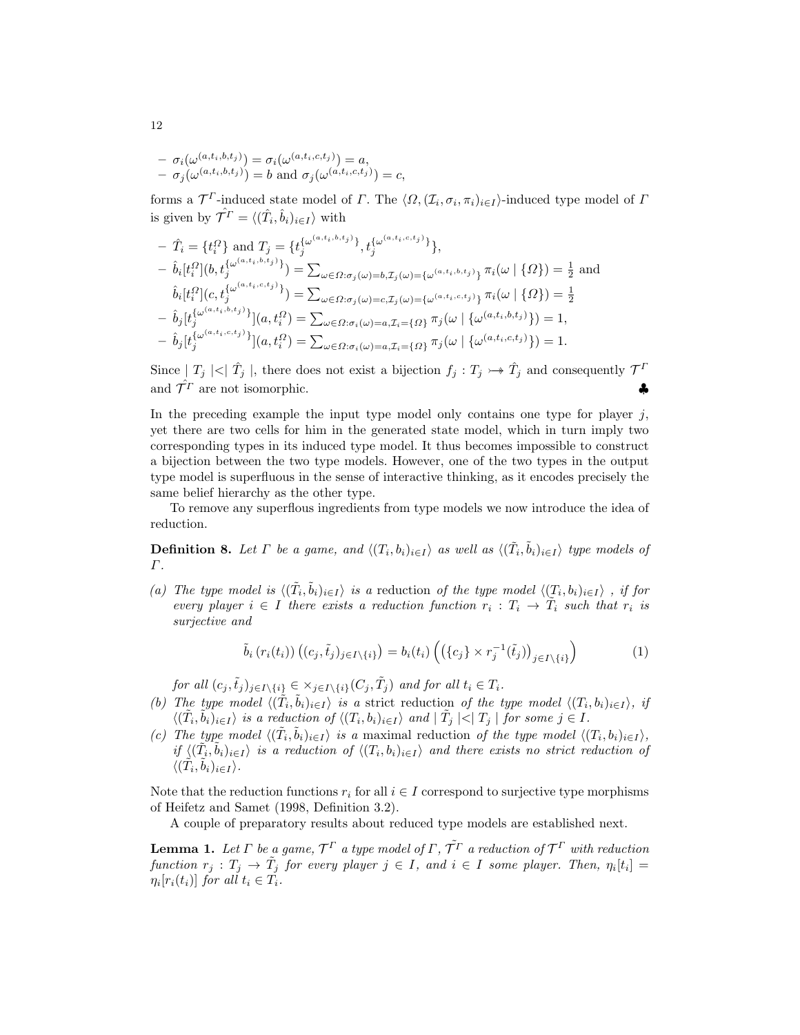$$
- \sigma_i(\omega^{(a,t_i,b,t_j)}) = \sigma_i(\omega^{(a,t_i,c,t_j)}) = a,
$$
  
- \sigma\_j(\omega^{(a,t\_i,b,t\_j)}) = b and  $\sigma_j(\omega^{(a,t_i,c,t_j)}) = c,$ 

forms a  $\mathcal{T}^{\Gamma}$ -induced state model of  $\Gamma$ . The  $\langle \Omega, (\mathcal{I}_i, \sigma_i, \pi_i)_{i \in I} \rangle$ -induced type model of  $\Gamma$ is given by  $\hat{\mathcal{T}}^{\Gamma} = \langle (\hat{T}_i, \hat{b}_i)_{i \in I} \rangle$  with

$$
- \hat{T}_i = \{t_i^Q\} \text{ and } T_j = \{t_j^{\{\omega^{(a,t_i,b,t_j)}\}}, t_j^{\{\omega^{(a,t_i,c,t_j)}\}}\},
$$
  
\n
$$
- \hat{b}_i[t_i^Q](b, t_j^{\{\omega^{(a,t_i,b,t_j)}\}}) = \sum_{\omega \in \Omega: \sigma_j(\omega) = b, \mathcal{I}_j(\omega) = \{\omega^{(a,t_i,b,t_j)}\}} \pi_i(\omega | \{\Omega\}) = \frac{1}{2} \text{ and}
$$
  
\n
$$
\hat{b}_i[t_i^Q](c, t_j^{\{\omega^{(a,t_i,c,t_j)}\}}) = \sum_{\omega \in \Omega: \sigma_j(\omega) = c, \mathcal{I}_j(\omega) = \{\omega^{(a,t_i,c,t_j)}\}} \pi_i(\omega | \{\Omega\}) = \frac{1}{2}
$$
  
\n
$$
- \hat{b}_j[t_j^{\{\omega^{(a,t_i,b,t_j)}\}}](a, t_i^Q) = \sum_{\omega \in \Omega: \sigma_i(\omega) = a, \mathcal{I}_i = \{\Omega\}} \pi_j(\omega | \{\omega^{(a,t_i,b,t_j)}\}) = 1,
$$
  
\n
$$
- \hat{b}_j[t_j^{\{\omega^{(a,t_i,c,t_j)}\}}](a, t_i^Q) = \sum_{\omega \in \Omega: \sigma_i(\omega) = a, \mathcal{I}_i = \{\Omega\}} \pi_j(\omega | \{\omega^{(a,t_i,c,t_j)}\}) = 1.
$$

Since  $|T_j| < |\hat{T}_j|$ , there does not exist a bijection  $f_j : T_j \rightarrow \hat{T}_j$  and consequently  $\mathcal{T}^T$ and  $\hat{\mathcal{T}}^T$  are not isomorphic.

In the preceding example the input type model only contains one type for player  $j$ , yet there are two cells for him in the generated state model, which in turn imply two corresponding types in its induced type model. It thus becomes impossible to construct a bijection between the two type models. However, one of the two types in the output type model is superfluous in the sense of interactive thinking, as it encodes precisely the same belief hierarchy as the other type.

To remove any superflous ingredients from type models we now introduce the idea of reduction.

**Definition 8.** Let  $\Gamma$  be a game, and  $\langle (T_i, b_i)_{i \in I} \rangle$  as well as  $\langle (\tilde{T}_i, \tilde{b}_i)_{i \in I} \rangle$  type models of Γ.

(a) The type model is  $\langle (\tilde{T}_i, \tilde{b}_i)_{i \in I} \rangle$  is a reduction of the type model  $\langle (T_i, b_i)_{i \in I} \rangle$ , if for every player  $i \in I$  there exists a reduction function  $r_i : T_i \to \tilde{T}_i$  such that  $r_i$  is surjective and

$$
\tilde{b}_i(r_i(t_i))\left((c_j,\tilde{t}_j)_{j\in I\setminus\{i\}}\right) = b_i(t_i)\left(\left(\{c_j\}\times r_j^{-1}(\tilde{t}_j)\right)_{j\in I\setminus\{i\}}\right) \tag{1}
$$

for all  $(c_j, \tilde{t}_j)_{j \in I \setminus \{i\}} \in \times_{j \in I \setminus \{i\}} (C_j, \tilde{T}_j)$  and for all  $t_i \in T_i$ .

- (b) The type model  $\langle (\tilde{T}_i, \tilde{b}_i)_{i \in I} \rangle$  is a strict reduction of the type model  $\langle (T_i, b_i)_{i \in I} \rangle$ , if  $\langle (\tilde{T}_i, \tilde{b}_i)_{i \in I} \rangle$  is a reduction of  $\langle (T_i, b_i)_{i \in I} \rangle$  and  $| \tilde{T}_j | < | T_j |$  for some  $j \in I$ .
- (c) The type model  $\langle (\tilde{T}_i, \tilde{b}_i)_{i \in I} \rangle$  is a maximal reduction of the type model  $\langle (T_i, b_i)_{i \in I} \rangle$ , if  $\langle (\tilde{T}_i, \tilde{b}_i)_{i \in I} \rangle$  is a reduction of  $\langle (T_i, b_i)_{i \in I} \rangle$  and there exists no strict reduction of  $\langle (\tilde{T}_i, \tilde{b}_i)_{i \in I} \rangle.$

Note that the reduction functions  $r_i$  for all  $i \in I$  correspond to surjective type morphisms of Heifetz and Samet (1998, Definition 3.2).

A couple of preparatory results about reduced type models are established next.

**Lemma 1.** Let  $\Gamma$  be a game,  $\mathcal{T}^{\Gamma}$  a type model of  $\Gamma$ ,  $\tilde{\mathcal{T}}^{\Gamma}$  a reduction of  $\mathcal{T}^{\Gamma}$  with reduction function  $r_j : T_j \to \tilde{T}_j$  for every player  $j \in I$ , and  $i \in I$  some player. Then,  $\eta_i[t_i] =$  $\eta_i[r_i(t_i)]$  for all  $t_i \in T_i$ .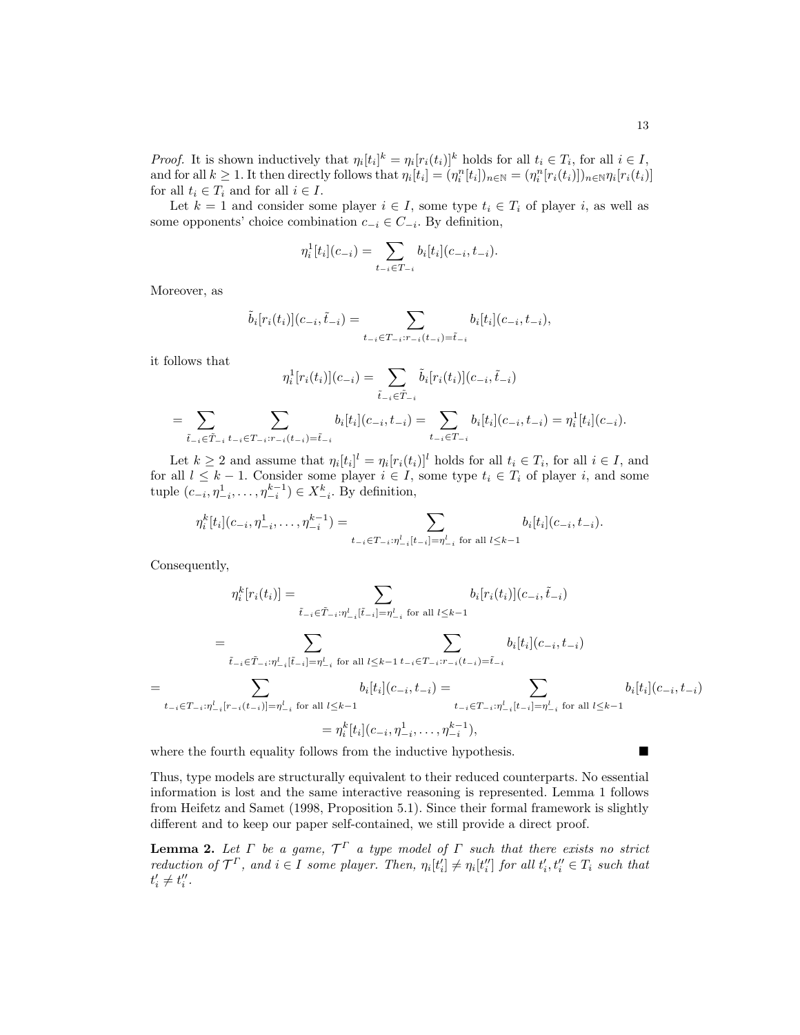*Proof.* It is shown inductively that  $\eta_i[t_i]^k = \eta_i[r_i(t_i)]^k$  holds for all  $t_i \in T_i$ , for all  $i \in I$ , and for all  $k \geq 1$ . It then directly follows that  $\eta_i[t_i] = (\eta_i^n[t_i])_{n \in \mathbb{N}} = (\eta_i^n[r_i(t_i)])_{n \in \mathbb{N}} \eta_i[r_i(t_i)]$ for all  $t_i \in T_i$  and for all  $i \in I$ .

Let  $k = 1$  and consider some player  $i \in I$ , some type  $t_i \in T_i$  of player i, as well as some opponents' choice combination  $c_{-i} \in C_{-i}$ . By definition,

$$
\eta_i^1[t_i](c_{-i}) = \sum_{t_{-i} \in T_{-i}} b_i[t_i](c_{-i}, t_{-i}).
$$

Moreover, as

$$
\tilde{b}_{i}[r_{i}(t_{i})](c_{-i},\tilde{t}_{-i}) = \sum_{t_{-i} \in T_{-i}: r_{-i}(t_{-i}) = \tilde{t}_{-i}} b_{i}[t_{i}](c_{-i},t_{-i}),
$$

it follows that

$$
\eta_i^1[r_i(t_i)](c_{-i}) = \sum_{\tilde{t}_{-i} \in \tilde{T}_{-i}} \tilde{b}_i[r_i(t_i)](c_{-i}, \tilde{t}_{-i})
$$

$$
= \sum_{\tilde{t}_{-i} \in \tilde{T}_{-i}} \sum_{t_{-i} \in T_{-i}: r_{-i}(t_{-i}) = \tilde{t}_{-i}} b_i[t_i](c_{-i}, t_{-i}) = \sum_{t_{-i} \in T_{-i}} b_i[t_i](c_{-i}, t_{-i}) = \eta_i^1[t_i](c_{-i}).
$$

Let  $k \geq 2$  and assume that  $\eta_i[t_i]^l = \eta_i[r_i(t_i)]^l$  holds for all  $t_i \in T_i$ , for all  $i \in I$ , and for all  $l \leq k-1$ . Consider some player  $i \in I$ , some type  $t_i \in T_i$  of player i, and some tuple  $(c_{-i}, \eta_{-i}^1, \ldots, \eta_{-i}^{k-1})$  ∈  $X_{-i}^k$ . By definition,

$$
\eta_i^k[t_i](c_{-i}, \eta_{-i}^1, \dots, \eta_{-i}^{k-1}) = \sum_{t_{-i} \in T_{-i} : \eta_{-i}^l[t_{-i}] = \eta_{-i}^l \text{ for all } l \leq k-1} b_i[t_i](c_{-i}, t_{-i}).
$$

Consequently,

$$
\eta_i^k[r_i(t_i)] = \sum_{\tilde{t}_{-i} \in \tilde{T}_{-i} : \eta_{-i}^l [\tilde{t}_{-i}] = \eta_{-i}^l \text{ for all } l \leq k-1} b_i[r_i(t_i)](c_{-i}, \tilde{t}_{-i})
$$

$$
= \sum_{\tilde{t}_{-i} \in \tilde{T}_{-i} : \eta_{-i}^l [\tilde{t}_{-i}] = \eta_{-i}^l \text{ for all } l \leq k-1} \sum_{t_{-i} \in T_{-i} : r_{-i}(t_{-i}) = \tilde{t}_{-i}} b_i[t_i](c_{-i}, t_{-i})
$$

$$
= \sum_{t_{-i} \in T_{-i} : \eta_{-i}^l [r_{-i}(t_{-i})] = \eta_{-i}^l \text{ for all } l \leq k-1} b_i[t_i](c_{-i}, t_{-i}) = \sum_{t_{-i} \in T_{-i} : \eta_{-i}^l [t_{-i}] = \eta_{-i}^l \text{ for all } l \leq k-1} b_i[t_i](c_{-i}, \eta_{-i}^1, \dots, \eta_{-i}^{k-1}),
$$

where the fourth equality follows from the inductive hypothesis.

Thus, type models are structurally equivalent to their reduced counterparts. No essential information is lost and the same interactive reasoning is represented. Lemma 1 follows from Heifetz and Samet (1998, Proposition 5.1). Since their formal framework is slightly different and to keep our paper self-contained, we still provide a direct proof.

**Lemma 2.** Let  $\Gamma$  be a game,  $\mathcal{T}^{\Gamma}$  a type model of  $\Gamma$  such that there exists no strict reduction of  $\mathcal{T}^{\Gamma}$ , and  $i \in I$  some player. Then,  $\eta_i[t'_i] \neq \eta_i[t''_i]$  for all  $t'_i, t''_i \in T_i$  such that  $t'_i \neq t''_i.$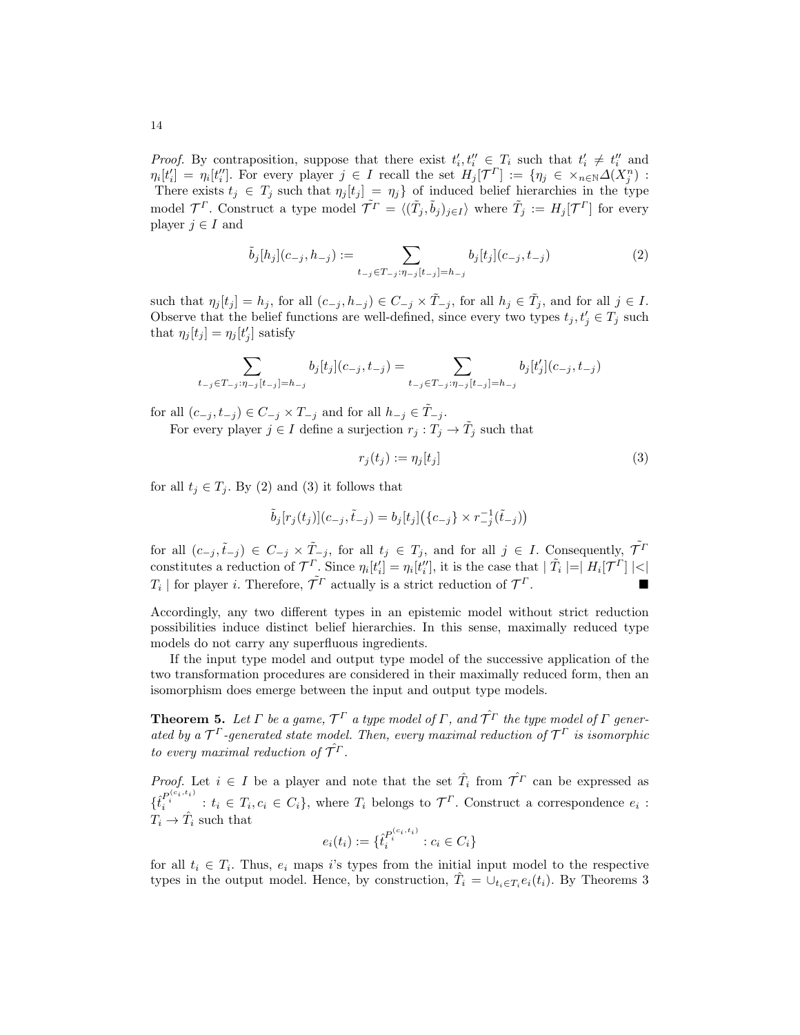*Proof.* By contraposition, suppose that there exist  $t'_i, t''_i \in T_i$  such that  $t'_i \neq t''_i$  and  $\eta_i[t'_i] = \eta_i[t''_i]$ . For every player  $j \in I$  recall the set  $H_j[\mathcal{T}^{\Gamma}] := \{\eta_j \in \times_{n \in \mathbb{N}} \Delta(X_j^n)$ : There exists  $t_j \in T_j$  such that  $\eta_j[t_j] = \eta_j$  of induced belief hierarchies in the type model  $\mathcal{T}^{\Gamma}$ . Construct a type model  $\tilde{\mathcal{T}}^{\Gamma} = \langle (\tilde{T}_j, \tilde{b}_j)_{j \in I} \rangle$  where  $\tilde{T}_j := H_j[\mathcal{T}^{\Gamma}]$  for every player  $j \in I$  and

$$
\tilde{b}_j[h_j](c_{-j}, h_{-j}) := \sum_{t_{-j} \in T_{-j}: \eta_{-j}[t_{-j}]=h_{-j}} b_j[t_j](c_{-j}, t_{-j})
$$
\n(2)

such that  $\eta_j[t_j] = h_j$ , for all  $(c_{-j}, h_{-j}) \in C_{-j} \times \tilde{T}_{-j}$ , for all  $h_j \in \tilde{T}_j$ , and for all  $j \in I$ . Observe that the belief functions are well-defined, since every two types  $t_j, t'_j \in T_j$  such that  $\eta_j[t_j] = \eta_j[t'_j]$  satisfy

$$
\sum_{t_{-j}\in T_{-j}:\eta_{-j}[t_{-j}]=h_{-j}}b_j[t_j](c_{-j},t_{-j})=\sum_{t_{-j}\in T_{-j}:\eta_{-j}[t_{-j}]=h_{-j}}b_j[t_j'](c_{-j},t_{-j})
$$

for all  $(c_{-j}, t_{-j}) \in C_{-j} \times T_{-j}$  and for all  $h_{-j} \in \tilde{T}_{-j}$ .

For every player  $j \in I$  define a surjection  $r_j : T_j \to \tilde{T}_j$  such that

$$
r_j(t_j) := \eta_j[t_j] \tag{3}
$$

for all  $t_j \in T_j$ . By (2) and (3) it follows that

$$
\tilde{b}_j[r_j(t_j)](c_{-j},\tilde{t}_{-j}) = b_j[t_j]\big(\{c_{-j}\} \times r_{-j}^{-1}(\tilde{t}_{-j})\big)
$$

for all  $(c_{-j}, \tilde{t}_{-j}) \in C_{-j} \times \tilde{T}_{-j}$ , for all  $t_j \in T_j$ , and for all  $j \in I$ . Consequently,  $\tilde{T}^I$ constitutes a reduction of  $\mathcal{T}^{\Gamma}$ . Since  $\eta_i[t'_i] = \eta_i[t''_i]$ , it is the case that  $|\tilde{T}_i| = |H_i[\mathcal{T}^{\Gamma}]| <$  $T_i$  | for player *i*. Therefore,  $\tilde{\mathcal{T}}^T$  actually is a strict reduction of  $\mathcal{T}$  $\Gamma$ .

Accordingly, any two different types in an epistemic model without strict reduction possibilities induce distinct belief hierarchies. In this sense, maximally reduced type models do not carry any superfluous ingredients.

If the input type model and output type model of the successive application of the two transformation procedures are considered in their maximally reduced form, then an isomorphism does emerge between the input and output type models.

**Theorem 5.** Let  $\Gamma$  be a game,  $\mathcal{T}^{\Gamma}$  a type model of  $\Gamma$ , and  $\hat{\mathcal{T}^{\Gamma}}$  the type model of  $\Gamma$  generated by a  $\mathcal{T}^{\Gamma}$ -generated state model. Then, every maximal reduction of  $\mathcal{T}^{\Gamma}$  is isomorphic to every maximal reduction of  $\hat{\mathcal{T}^{\Gamma}}$ .

*Proof.* Let  $i \in I$  be a player and note that the set  $\hat{T}_i$  from  $\hat{T}^T$  can be expressed as  $\{\hat{t}_i^{P_i^{(c_i,t_i)}}: t_i \in T_i, c_i \in C_i\}$ , where  $T_i$  belongs to  $\mathcal{T}^{\Gamma}$ . Construct a correspondence  $e_i$ :  $T_i \rightarrow \hat{T}_i$  such that

$$
e_i(t_i) := \{ \hat{t}_i^{P_i^{(c_i, t_i)}} : c_i \in C_i \}
$$

for all  $t_i \in T_i$ . Thus,  $e_i$  maps i's types from the initial input model to the respective types in the output model. Hence, by construction,  $\hat{T}_i = \bigcup_{t_i \in T_i} e_i(t_i)$ . By Theorems 3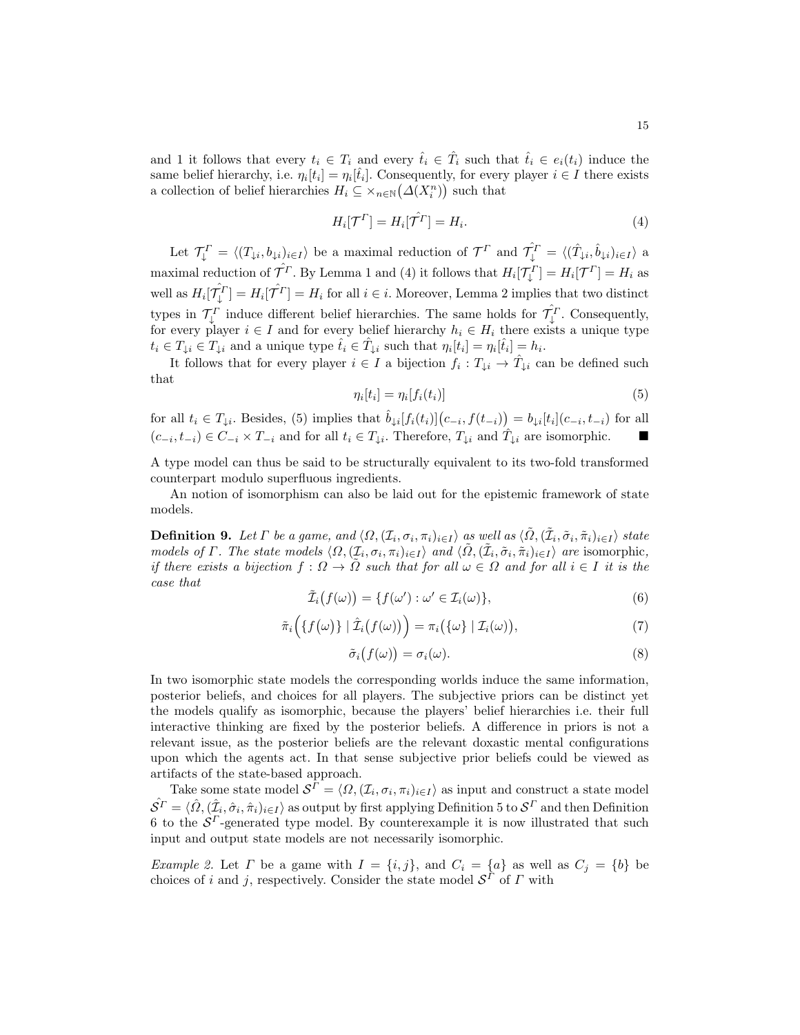and 1 it follows that every  $t_i \in T_i$  and every  $\hat{t}_i \in \hat{T}_i$  such that  $\hat{t}_i \in e_i(t_i)$  induce the same belief hierarchy, i.e.  $\eta_i[t_i] = \eta_i[\hat{t}_i]$ . Consequently, for every player  $i \in I$  there exists a collection of belief hierarchies  $H_i \subseteq \times_{n \in \mathbb{N}} (\Delta(X_i^n))$  such that

$$
H_i[\mathcal{T}^{\Gamma}] = H_i[\hat{\mathcal{T}}^{\Gamma}] = H_i.
$$
\n<sup>(4)</sup>

Let  $\mathcal{T}_{\downarrow}^{\Gamma} = \langle (T_{\downarrow i}, b_{\downarrow i})_{i \in I} \rangle$  be a maximal reduction of  $\mathcal{T}^{\Gamma}$  and  $\hat{\mathcal{T}}_{\downarrow}^{\Gamma} = \langle (\hat{T}_{\downarrow i}, \hat{b}_{\downarrow i})_{i \in I} \rangle$  a maximal reduction of  $\hat{\mathcal{T}}^T$ . By Lemma 1 and (4) it follows that  $H_i[\mathcal{T}_\downarrow^T] = H_i[\mathcal{T}^T] = H_i$  as well as  $H_i[\hat{\mathcal{T}}_i^T] = H_i[\hat{\mathcal{T}}^T] = H_i$  for all  $i \in i$ . Moreover, Lemma 2 implies that two distinct types in  $\mathcal{T}_{\downarrow}^{\Gamma}$  induce different belief hierarchies. The same holds for  $\hat{\mathcal{T}}_{\downarrow}^{\Gamma}$ . Consequently, for every player  $i \in I$  and for every belief hierarchy  $h_i \in H_i$  there exists a unique type  $t_i \in T_{\downarrow i} \in T_{\downarrow i}$  and a unique type  $\hat{t}_i \in \hat{T}_{\downarrow i}$  such that  $\eta_i[t_i] = \eta_i[\hat{t}_i] = h_i$ .

It follows that for every player  $i \in I$  a bijection  $f_i: T_{\downarrow i} \to \hat{T}_{\downarrow i}$  can be defined such that

$$
\eta_i[t_i] = \eta_i[f_i(t_i)] \tag{5}
$$

for all  $t_i \in T_{\downarrow i}$ . Besides, (5) implies that  $\hat{b}_{\downarrow i}[f_i(t_i)](c_{-i}, f(t_{-i})) = b_{\downarrow i}[t_i](c_{-i}, t_{-i})$  for all  $(c_{-i}, t_{-i}) \in C_{-i} \times T_{-i}$  and for all  $t_i \in T_{\downarrow i}$ . Therefore,  $T_{\downarrow i}$  and  $\hat{T}_{\downarrow i}$  are isomorphic. ■

A type model can thus be said to be structurally equivalent to its two-fold transformed counterpart modulo superfluous ingredients.

An notion of isomorphism can also be laid out for the epistemic framework of state models.

**Definition 9.** Let  $\Gamma$  be a game, and  $\langle \Omega, (\mathcal{I}_i, \sigma_i, \pi_i)_{i \in I} \rangle$  as well as  $\langle \tilde{\Omega}, (\tilde{\mathcal{I}}_i, \tilde{\sigma}_i, \tilde{\pi}_i)_{i \in I} \rangle$  state models of  $\Gamma$ . The state models  $\langle \Omega, (\mathcal{I}_i, \sigma_i, \pi_i)_{i \in I} \rangle$  and  $\langle \tilde{\Omega}, (\tilde{\mathcal{I}}_i, \tilde{\sigma}_i, \tilde{\pi}_i)_{i \in I} \rangle$  are isomorphic, if there exists a bijection  $f: \Omega \to \tilde{\Omega}$  such that for all  $\omega \in \Omega$  and for all  $i \in I$  it is the case that

$$
\tilde{\mathcal{I}}_i(f(\omega)) = \{ f(\omega') : \omega' \in \mathcal{I}_i(\omega) \},\tag{6}
$$

$$
\tilde{\pi}_i\Big(\{f(\omega)\}\mid \hat{\mathcal{I}}_i\big(f(\omega)\big)\Big)=\pi_i\big(\{\omega\}\mid \mathcal{I}_i(\omega)\big),\tag{7}
$$

$$
\tilde{\sigma}_i(f(\omega)) = \sigma_i(\omega). \tag{8}
$$

In two isomorphic state models the corresponding worlds induce the same information, posterior beliefs, and choices for all players. The subjective priors can be distinct yet the models qualify as isomorphic, because the players' belief hierarchies i.e. their full interactive thinking are fixed by the posterior beliefs. A difference in priors is not a relevant issue, as the posterior beliefs are the relevant doxastic mental configurations upon which the agents act. In that sense subjective prior beliefs could be viewed as artifacts of the state-based approach.

Take some state model  $S^{\Gamma} = \langle \Omega, (\mathcal{I}_i, \sigma_i, \pi_i)_{i \in I} \rangle$  as input and construct a state model  $\hat{S^{T}} = \langle \hat{\Omega}, (\hat{\mathcal{I}}_i, \hat{\sigma}_i, \hat{\pi}_i)_{i \in I} \rangle$  as output by first applying Definition 5 to  $\mathcal{S}^{T}$  and then Definition 6 to the  $S<sup>\Gamma</sup>$ -generated type model. By counterexample it is now illustrated that such input and output state models are not necessarily isomorphic.

*Example 2.* Let  $\Gamma$  be a game with  $I = \{i, j\}$ , and  $C_i = \{a\}$  as well as  $C_j = \{b\}$  be choices of i and j, respectively. Consider the state model  $\mathcal{S}^{\Gamma}$  of  $\Gamma$  with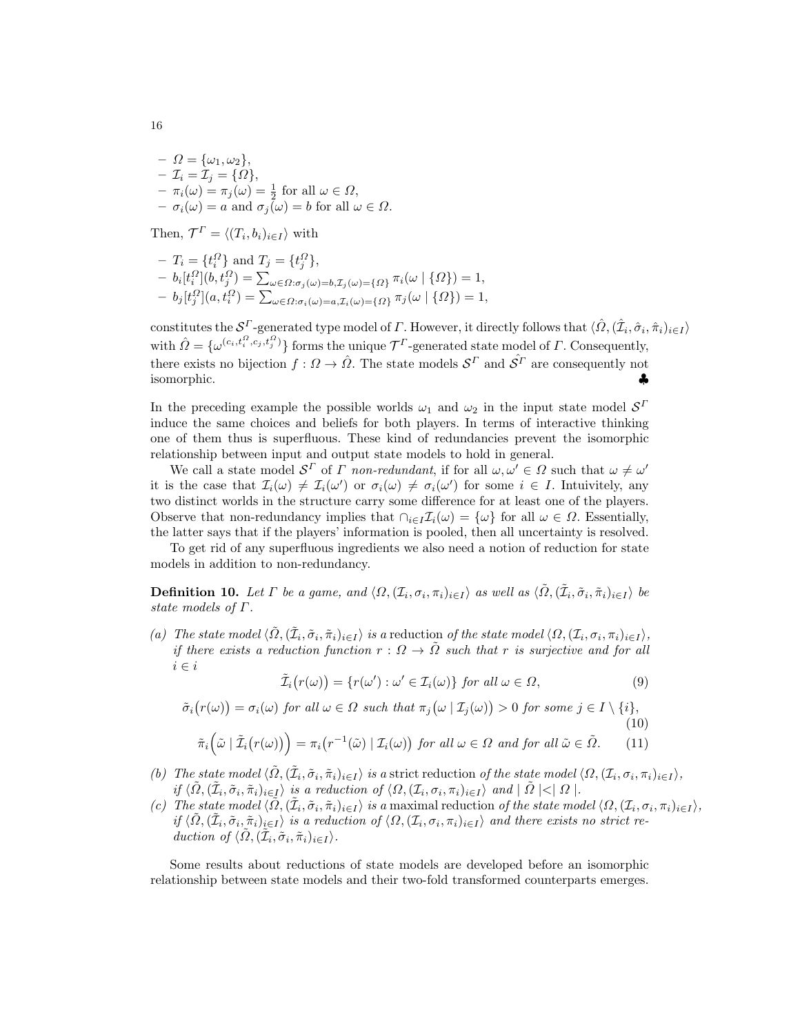$- \Omega = {\omega_1, \omega_2},$  $-\mathcal{I}_i = \mathcal{I}_j = \{\Omega\},\$  $- \pi_i(\omega) = \pi_j(\omega) = \frac{1}{2}$  for all  $\omega \in \Omega$ ,  $- \sigma_i(\omega) = a$  and  $\sigma_j(\omega) = b$  for all  $\omega \in \Omega$ .

Then,  $\mathcal{T}^{\Gamma} = \langle (T_i, b_i)_{i \in I} \rangle$  with

$$
- T_i = \{t_i^{\Omega}\} \text{ and } T_j = \{t_j^{\Omega}\},
$$
  
\n
$$
- b_i[t_i^{\Omega}](b, t_j^{\Omega}) = \sum_{\omega \in \Omega: \sigma_j(\omega) = b, \mathcal{I}_j(\omega) = \{\Omega\}} \pi_i(\omega | \{\Omega\}) = 1,
$$
  
\n
$$
- b_j[t_j^{\Omega}](a, t_i^{\Omega}) = \sum_{\omega \in \Omega: \sigma_i(\omega) = a, \mathcal{I}_i(\omega) = \{\Omega\}} \pi_j(\omega | \{\Omega\}) = 1,
$$

constitutes the  $\mathcal{S}^{\Gamma}$ -generated type model of  $\Gamma$ . However, it directly follows that  $\langle \hat{\Omega}, (\hat{\mathcal{I}}_i, \hat{\sigma}_i, \hat{\pi}_i)_{i \in I} \rangle$ with  $\hat{\Omega} = \{ \omega^{(c_i, t_i^Q, c_j, t_j^Q)} \}$  forms the unique  $\mathcal{T}^{\Gamma}$ -generated state model of  $\Gamma$ . Consequently, there exists no bijection  $f: \Omega \to \hat{\Omega}$ . The state models  $\mathcal{S}^{\Gamma}$  and  $\hat{\mathcal{S}}^{\Gamma}$  are consequently not isomorphic. ♣

In the preceding example the possible worlds  $\omega_1$  and  $\omega_2$  in the input state model  $\mathcal{S}^I$ induce the same choices and beliefs for both players. In terms of interactive thinking one of them thus is superfluous. These kind of redundancies prevent the isomorphic relationship between input and output state models to hold in general.

We call a state model  $\mathcal{S}^{\Gamma}$  of  $\Gamma$  non-redundant, if for all  $\omega, \omega' \in \Omega$  such that  $\omega \neq \omega'$ it is the case that  $\mathcal{I}_i(\omega) \neq \mathcal{I}_i(\omega')$  or  $\sigma_i(\omega) \neq \sigma_i(\omega')$  for some  $i \in I$ . Intuivitely, any two distinct worlds in the structure carry some difference for at least one of the players. Observe that non-redundancy implies that  $\cap_{i\in I}\mathcal{I}_i(\omega) = {\omega}$  for all  $\omega \in \Omega$ . Essentially, the latter says that if the players' information is pooled, then all uncertainty is resolved.

To get rid of any superfluous ingredients we also need a notion of reduction for state models in addition to non-redundancy.

**Definition 10.** Let  $\Gamma$  be a game, and  $\langle \Omega, (\mathcal{I}_i, \sigma_i, \pi_i)_{i \in I} \rangle$  as well as  $\langle \tilde{\Omega}, (\tilde{\mathcal{I}}_i, \tilde{\sigma}_i, \tilde{\pi}_i)_{i \in I} \rangle$  be state models of Γ.

(a) The state model  $\langle \tilde{\Omega}, (\tilde{\mathcal{I}}_i, \tilde{\sigma}_i, \tilde{\pi}_i)_{i \in I} \rangle$  is a reduction of the state model  $\langle \Omega, (\mathcal{I}_i, \sigma_i, \pi_i)_{i \in I} \rangle$ , if there exists a reduction function  $r : \Omega \to \overline{\Omega}$  such that r is surjective and for all  $i \in i$ 

$$
\tilde{\mathcal{I}}_i(r(\omega)) = \{r(\omega') : \omega' \in \mathcal{I}_i(\omega)\} \text{ for all } \omega \in \Omega,
$$
\n(9)

 $\tilde{\sigma}_i(r(\omega)) = \sigma_i(\omega)$  for all  $\omega \in \Omega$  such that  $\pi_j(\omega | \mathcal{I}_j(\omega)) > 0$  for some  $j \in I \setminus \{i\},$  $(10)$ 

$$
\tilde{\pi}_i\big(\tilde{\omega} \mid \tilde{\mathcal{I}}_i\big(r(\omega)\big)\big)=\pi_i\big(r^{-1}(\tilde{\omega}) \mid \mathcal{I}_i(\omega)\big) \text{ for all } \omega \in \Omega \text{ and for all } \tilde{\omega} \in \tilde{\Omega}. \tag{11}
$$

- (b) The state model  $\langle \tilde{\Omega}, (\tilde{\mathcal{I}}_i, \tilde{\sigma}_i, \tilde{\pi}_i)_{i \in I} \rangle$  is a strict reduction of the state model  $\langle \Omega, (\mathcal{I}_i, \sigma_i, \pi_i)_{i \in I} \rangle$ , if  $\langle \tilde{\Omega}, (\tilde{\mathcal{I}}_i, \tilde{\sigma}_i, \tilde{\pi}_i)_{i \in I} \rangle$  is a reduction of  $\langle \Omega, (\mathcal{I}_i, \sigma_i, \pi_i)_{i \in I} \rangle$  and  $| \tilde{\Omega} | < | \Omega |$ .
- (c) The state model  $\langle \tilde{\Omega}, (\tilde{\mathcal{I}}_i, \tilde{\sigma}_i, \tilde{\pi}_i)_{i \in I} \rangle$  is a maximal reduction of the state model  $\langle \Omega, (\mathcal{I}_i, \sigma_i, \pi_i)_{i \in I} \rangle$ , if  $\langle \tilde{\Omega}, (\tilde{\mathcal{I}}_i, \tilde{\sigma}_i, \tilde{\pi}_i)_{i \in I} \rangle$  is a reduction of  $\langle \Omega, (\mathcal{I}_i, \sigma_i, \pi_i)_{i \in I} \rangle$  and there exists no strict reduction of  $\langle \tilde{\Omega}, (\tilde{\mathcal{I}}_i, \tilde{\sigma}_i, \tilde{\pi}_i)_{i \in I} \rangle$ .

Some results about reductions of state models are developed before an isomorphic relationship between state models and their two-fold transformed counterparts emerges.

16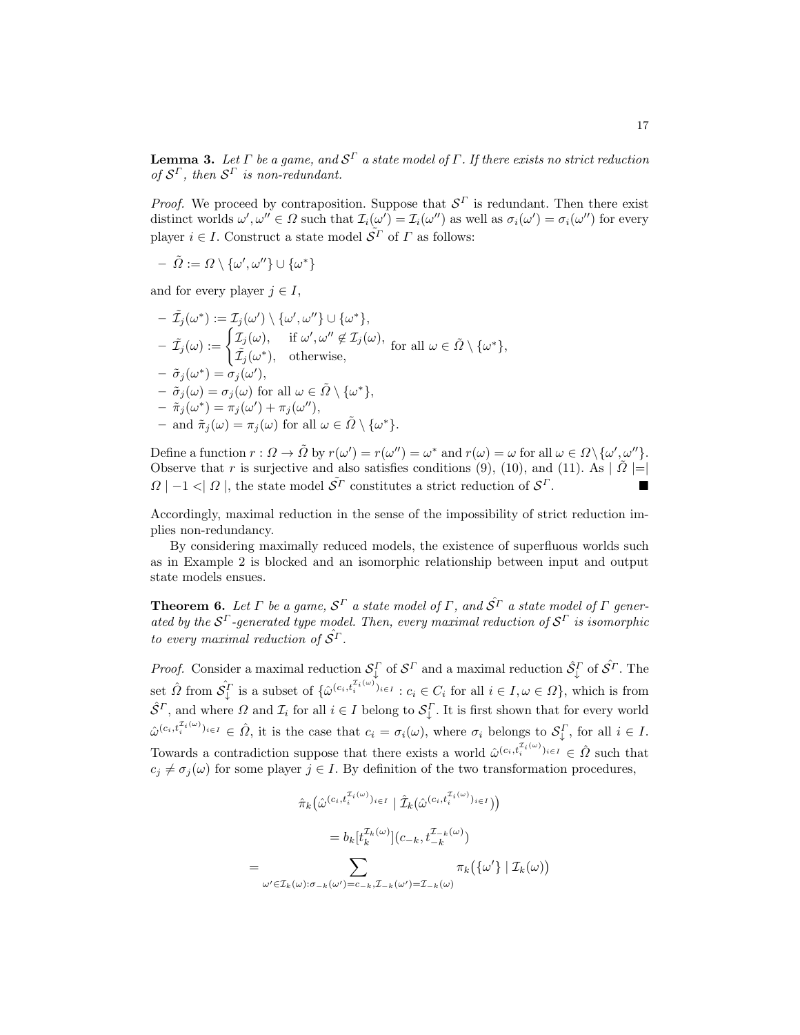**Lemma 3.** Let  $\Gamma$  be a game, and  $\mathcal{S}^{\Gamma}$  a state model of  $\Gamma$  . If there exists no strict reduction of  $S^{\Gamma}$ , then  $S^{\Gamma}$  is non-redundant.

*Proof.* We proceed by contraposition. Suppose that  $S<sup>\Gamma</sup>$  is redundant. Then there exist distinct worlds  $\omega', \omega'' \in \Omega$  such that  $\mathcal{I}_i(\omega') = \mathcal{I}_i(\omega'')$  as well as  $\sigma_i(\omega') = \sigma_i(\omega'')$  for every player  $i \in I.$  Construct a state model  $\bar{\mathcal{S}^{\varGamma}}$  of  $\varGamma$  as follows:

$$
- \ \tilde \varOmega := \varOmega \setminus \{\omega', \omega''\} \cup \{\omega^*\}
$$

and for every player  $j \in I$ ,

$$
- \tilde{\mathcal{I}}_j(\omega^*) := \mathcal{I}_j(\omega') \setminus \{\omega', \omega''\} \cup \{\omega^*\},
$$
  
\n
$$
- \tilde{\mathcal{I}}_j(\omega) := \begin{cases} \mathcal{I}_j(\omega), & \text{if } \omega', \omega'' \notin \mathcal{I}_j(\omega), \\ \tilde{\mathcal{I}}_j(\omega^*), & \text{otherwise}, \end{cases} \text{ for all } \omega \in \tilde{\Omega} \setminus \{\omega^*\},
$$
  
\n
$$
- \tilde{\sigma}_j(\omega^*) = \sigma_j(\omega'),
$$
  
\n
$$
- \tilde{\sigma}_j(\omega) = \sigma_j(\omega) \text{ for all } \omega \in \tilde{\Omega} \setminus \{\omega^*\},
$$
  
\n
$$
- \tilde{\pi}_j(\omega^*) = \pi_j(\omega') + \pi_j(\omega''),
$$
  
\n
$$
- \text{ and } \tilde{\pi}_j(\omega) = \pi_j(\omega) \text{ for all } \omega \in \tilde{\Omega} \setminus \{\omega^*\}.
$$

Define a function  $r: \Omega \to \tilde{\Omega}$  by  $r(\omega') = r(\omega'') = \omega^*$  and  $r(\omega) = \omega$  for all  $\omega \in \Omega \setminus {\{\omega', \omega''\}}$ . Observe that r is surjective and also satisfies conditions (9), (10), and (11). As  $|\tilde{\Omega}|=$  $\Omega$  | −1 < |  $\Omega$  |, the state model  $\tilde{S}^{\Gamma}$  constitutes a strict reduction of  $S^{\Gamma}$ .

Accordingly, maximal reduction in the sense of the impossibility of strict reduction implies non-redundancy.

By considering maximally reduced models, the existence of superfluous worlds such as in Example 2 is blocked and an isomorphic relationship between input and output state models ensues.

**Theorem 6.** Let  $\Gamma$  be a game,  $\mathcal{S}^{\Gamma}$  a state model of  $\Gamma$ , and  $\hat{\mathcal{S}}^{\Gamma}$  a state model of  $\Gamma$  generated by the  $S^{\Gamma}$ -generated type model. Then, every maximal reduction of  $S^{\Gamma}$  is isomorphic to every maximal reduction of  $S^{\Gamma}$ .

*Proof.* Consider a maximal reduction  $S_{\downarrow}^{\Gamma}$  of  $S^{\Gamma}$  and a maximal reduction  $\hat{S}_{\downarrow}^{\Gamma}$  of  $\hat{S}^{\Gamma}$ . The set  $\hat{\Omega}$  from  $\hat{\mathcal{S}}_{\downarrow}^{\Gamma}$  is a subset of  $\{\hat{\omega}^{(c_i, t_i^{T_i(\omega)})_{i \in I}} : c_i \in C_i$  for all  $i \in I, \omega \in \Omega\}$ , which is from  $\hat{S}^{\Gamma}$ , and where  $\Omega$  and  $\mathcal{I}_i$  for all  $i \in I$  belong to  $\mathcal{S}_{\downarrow}^{\Gamma}$ . It is first shown that for every world  $\hat{\omega}^{(c_i, t_i^{(1\omega)})_{i\in I}} \in \hat{\Omega}$ , it is the case that  $c_i = \sigma_i(\omega)$ , where  $\sigma_i$  belongs to  $\mathcal{S}_\downarrow^{\Gamma}$ , for all  $i \in I$ . Towards a contradiction suppose that there exists a world  $\hat{\omega}^{(c_i, t_i^{\mathcal{I}_i(\omega)})_{i \in I}} \in \hat{\Omega}$  such that  $c_j \neq \sigma_j(\omega)$  for some player  $j \in I$ . By definition of the two transformation procedures,

$$
\hat{\pi}_k(\hat{\omega}^{(c_i, t_i^{T_i(\omega)})_{i \in I}} | \hat{\mathcal{I}}_k(\hat{\omega}^{(c_i, t_i^{T_i(\omega)})_{i \in I}}))
$$
\n
$$
= b_k[t_k^{\mathcal{I}_k(\omega)}](c_{-k}, t_{-k}^{\mathcal{I}_{-k}(\omega)})
$$
\n
$$
= \sum_{\omega' \in \mathcal{I}_k(\omega): \sigma_{-k}(\omega') = c_{-k}, \mathcal{I}_{-k}(\omega') = \mathcal{I}_{-k}(\omega)} \pi_k(\{\omega'\} | \mathcal{I}_k(\omega))
$$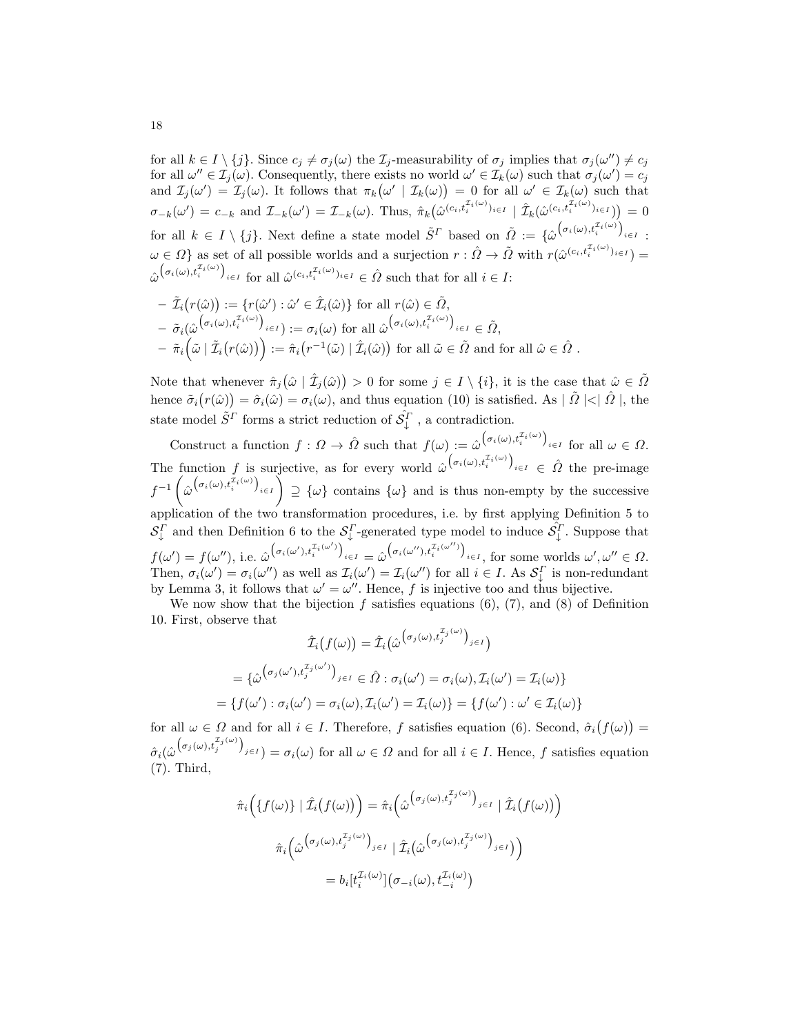for all  $k \in I \setminus \{j\}$ . Since  $c_j \neq \sigma_j(\omega)$  the  $\mathcal{I}_j$ -measurability of  $\sigma_j$  implies that  $\sigma_j(\omega'') \neq c_j$ for all  $\omega'' \in \mathcal{I}_j(\omega)$ . Consequently, there exists no world  $\omega' \in \mathcal{I}_k(\omega)$  such that  $\sigma_j(\omega') = c_j$ and  $\mathcal{I}_j(\omega') = \mathcal{I}_j(\omega)$ . It follows that  $\pi_k(\omega' | \mathcal{I}_k(\omega)) = 0$  for all  $\omega' \in \mathcal{I}_k(\omega)$  such that  $\sigma_{-k}(\omega') = c_{-k}$  and  $\mathcal{I}_{-k}(\omega') = \mathcal{I}_{-k}(\omega)$ . Thus,  $\hat{\pi}_k(\hat{\omega}^{(c_i, t_i^{T_i(\omega)})_{i \in I}} \mid \hat{\mathcal{I}}_k(\hat{\omega}^{(c_i, t_i^{T_i(\omega)})_{i \in I}}) = 0$ for all  $k \in I \setminus \{j\}$ . Next define a state model  $\tilde{S}^{\Gamma}$  based on  $\tilde{\Omega} := {\hat{\omega}}^{\big(\sigma_i(\omega), t_i^{\mathcal{I}_i(\omega)}\big)}_{i \in I}$ :  $\omega \in \Omega$  as set of all possible worlds and a surjection  $r : \hat{\Omega} \to \tilde{\Omega}$  with  $r(\hat{\omega}^{(c_i, t_i^{\mathcal{I}_i(\omega)})_{i \in I}})$  $\hat{\omega}^{\left(\sigma_i(\omega),t_i^{\mathcal{I}_i(\omega)}\right)}_{i\in I}$  for all  $\hat{\omega}^{(c_i,t_i^{\mathcal{I}_i(\omega)})_{i\in I}} \in \hat{\Omega}$  such that for all  $i \in I$ :

$$
- \tilde{\mathcal{I}}_i(r(\hat{\omega})) := \{r(\hat{\omega}') : \hat{\omega}' \in \hat{\mathcal{I}}_i(\hat{\omega})\} \text{ for all } r(\hat{\omega}) \in \tilde{\Omega},
$$
  
\n
$$
- \tilde{\sigma}_i(\hat{\omega}^{\left(\sigma_i(\omega), t_i^{\mathcal{I}_i(\omega)}\right)}_{i \in I}) := \sigma_i(\omega) \text{ for all } \hat{\omega}^{\left(\sigma_i(\omega), t_i^{\mathcal{I}_i(\omega)}\right)}_{i \in I} \in \tilde{\Omega},
$$
  
\n
$$
- \tilde{\pi}_i\left(\tilde{\omega} \mid \tilde{\mathcal{I}}_i(r(\hat{\omega}))\right) := \hat{\pi}_i(r^{-1}(\tilde{\omega}) \mid \hat{\mathcal{I}}_i(\hat{\omega})) \text{ for all } \tilde{\omega} \in \tilde{\Omega} \text{ and for all } \hat{\omega} \in \hat{\Omega}.
$$

Note that whenever  $\hat{\pi}_j(\hat{\omega} \mid \hat{\mathcal{I}}_j(\hat{\omega})) > 0$  for some  $j \in I \setminus \{i\}$ , it is the case that  $\hat{\omega} \in \tilde{\Omega}$ hence  $\tilde{\sigma}_i(r(\hat{\omega})) = \hat{\sigma}_i(\hat{\omega}) = \sigma_i(\omega)$ , and thus equation (10) is satisfied. As  $|\tilde{\Omega}| < |\hat{\Omega}|$ , the state model  $\tilde{S}^{\varGamma}$  forms a strict reduction of  $\hat{\mathcal{S}}_{\downarrow}^{\varGamma}$  , a contradiction.

Construct a function  $f: \Omega \to \hat{\Omega}$  such that  $f(\omega) := \hat{\omega}^{(\sigma_i(\omega), t_i^{\mathcal{I}_i(\omega)})}$  for all  $\omega \in \Omega$ . The function f is surjective, as for every world  $\hat{\omega}^{(\sigma_i(\omega),t_i^{T_i(\omega)})_{i\in I}} \in \hat{\Omega}$  the pre-image  $f^{-1}(\hat{\omega}^{(\sigma_i(\omega),t_i^{T_i(\omega)})} \supseteq {\omega}$  contains  $\{\omega\}$  and is thus non-empty by the successive application of the two transformation procedures, i.e. by first applying Definition 5 to  $S_{\downarrow}^{\Gamma}$  and then Definition 6 to the  $S_{\downarrow}^{\Gamma}$ -generated type model to induce  $\hat{S}_{\downarrow}^{\Gamma}$ . Suppose that  $f(\omega') = f(\omega''),$  i.e.  $\hat{\omega}^{(\sigma_i(\omega'),t_i^{T_i(\omega')})}$ <sub>i $\in I = \hat{\omega}^{(\sigma_i(\omega''),t_i^{T_i(\omega'')})}$ <sub>i $\in I$ </sub>, for some worlds  $\omega', \omega'' \in \Omega$ .</sub> Then,  $\sigma_i(\omega') = \sigma_i(\omega'')$  as well as  $\mathcal{I}_i(\omega') = \mathcal{I}_i(\omega'')$  for all  $i \in I$ . As  $\mathcal{S}_\downarrow^{\Gamma}$  is non-redundant by Lemma 3, it follows that  $\omega' = \omega''$ . Hence, f is injective too and thus bijective.

We now show that the bijection  $f$  satisfies equations (6), (7), and (8) of Definition 10. First, observe that

$$
\hat{\mathcal{I}}_i(f(\omega)) = \hat{\mathcal{I}}_i(\hat{\omega}^{\left(\sigma_j(\omega), t_j^{\mathcal{I}_j(\omega)}\right)_{j\in I}})
$$
\n
$$
= \{\hat{\omega}^{\left(\sigma_j(\omega'), t_j^{\mathcal{I}_j(\omega')}\right)}\}_{j\in I} \in \hat{\Omega} : \sigma_i(\omega') = \sigma_i(\omega), \mathcal{I}_i(\omega') = \mathcal{I}_i(\omega)\}
$$
\n
$$
= \{f(\omega') : \sigma_i(\omega') = \sigma_i(\omega), \mathcal{I}_i(\omega') = \mathcal{I}_i(\omega)\} = \{f(\omega') : \omega' \in \mathcal{I}_i(\omega)\}
$$

for all  $\omega \in \Omega$  and for all  $i \in I$ . Therefore, f satisfies equation (6). Second,  $\hat{\sigma}_i(f(\omega))$  =  $\hat{\sigma}_i(\hat{\omega}^{(\sigma_j(\omega),t_j^{T_j(\omega)})_{j\in I}}) = \sigma_i(\omega)$  for all  $\omega \in \Omega$  and for all  $i \in I$ . Hence, f satisfies equation (7). Third,

$$
\hat{\pi}_i \Big( \{ f(\omega) \} \mid \hat{\mathcal{I}}_i \big( f(\omega) \big) \Big) = \hat{\pi}_i \Big( \hat{\omega}^{\big( \sigma_j(\omega), t_j^{\mathcal{I}_j(\omega)} \big)}_{j \in I} \mid \hat{\mathcal{I}}_i \big( f(\omega) \big) \Big)
$$
\n
$$
\hat{\pi}_i \Big( \hat{\omega}^{\big( \sigma_j(\omega), t_j^{\mathcal{I}_j(\omega)} \big)}_{j \in I} \mid \hat{\mathcal{I}}_i \big( \hat{\omega}^{\big( \sigma_j(\omega), t_j^{\mathcal{I}_j(\omega)} \big)}_{j \in I} \big) \Big)
$$
\n
$$
= b_i \big[ t_i^{\mathcal{I}_i(\omega)} \big] \big( \sigma_{-i}(\omega), t_{-i}^{\mathcal{I}_i(\omega)} \big)
$$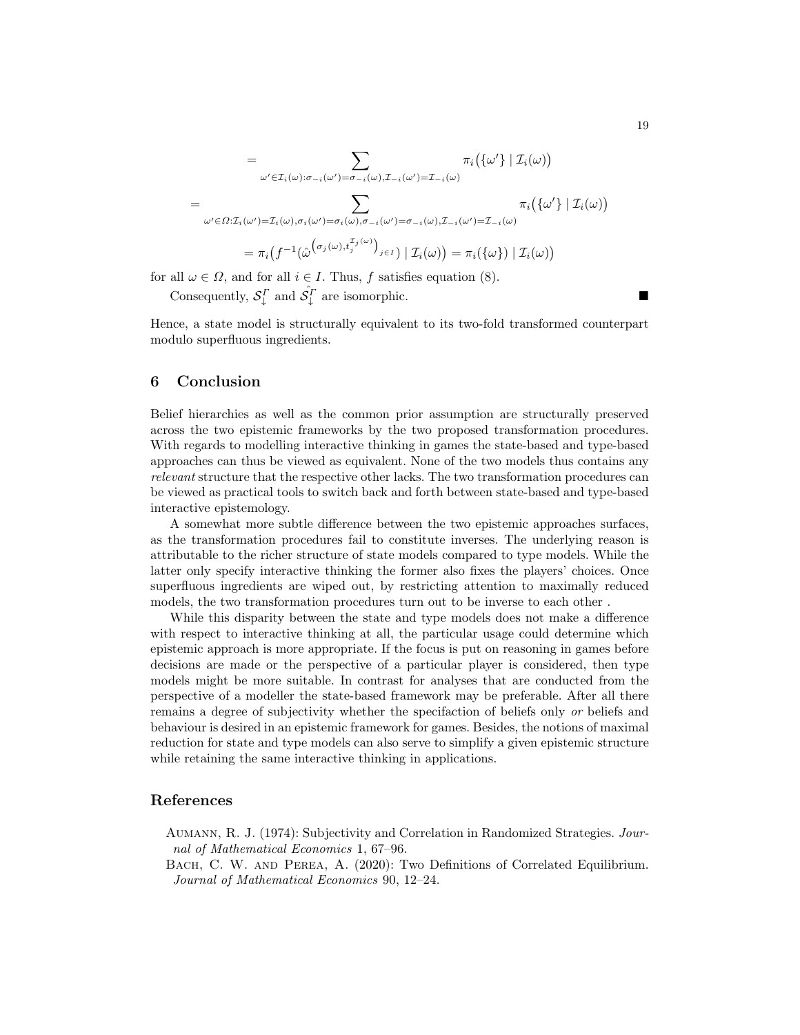$$
= \sum_{\omega' \in \mathcal{I}_i(\omega): \sigma_{-i}(\omega') = \sigma_{-i}(\omega), \mathcal{I}_{-i}(\omega') = \mathcal{I}_{-i}(\omega)} \pi_i(\{\omega'\} | \mathcal{I}_i(\omega))
$$
  

$$
= \sum_{\omega' \in \Omega: \mathcal{I}_i(\omega') = \mathcal{I}_i(\omega), \sigma_i(\omega') = \sigma_i(\omega), \sigma_{-i}(\omega') = \sigma_{-i}(\omega), \mathcal{I}_{-i}(\omega') = \mathcal{I}_{-i}(\omega)} \pi_i(\{\omega'\} | \mathcal{I}_i(\omega))
$$
  

$$
= \pi_i(f^{-1}(\hat{\omega}^{\sigma_j(\omega), t_j^{\mathcal{I}_j(\omega)})_{j \in I}) | \mathcal{I}_i(\omega)) = \pi_i(\{\omega\}) | \mathcal{I}_i(\omega))
$$

for all  $\omega \in \Omega$ , and for all  $i \in I$ . Thus, f satisfies equation (8).

Consequently,  $S_{\downarrow}^{\Gamma}$  and  $\hat{S_{\downarrow}}^{\Gamma}$  are isomorphic.

Hence, a state model is structurally equivalent to its two-fold transformed counterpart modulo superfluous ingredients.

#### 6 Conclusion

Belief hierarchies as well as the common prior assumption are structurally preserved across the two epistemic frameworks by the two proposed transformation procedures. With regards to modelling interactive thinking in games the state-based and type-based approaches can thus be viewed as equivalent. None of the two models thus contains any relevant structure that the respective other lacks. The two transformation procedures can be viewed as practical tools to switch back and forth between state-based and type-based interactive epistemology.

A somewhat more subtle difference between the two epistemic approaches surfaces, as the transformation procedures fail to constitute inverses. The underlying reason is attributable to the richer structure of state models compared to type models. While the latter only specify interactive thinking the former also fixes the players' choices. Once superfluous ingredients are wiped out, by restricting attention to maximally reduced models, the two transformation procedures turn out to be inverse to each other .

While this disparity between the state and type models does not make a difference with respect to interactive thinking at all, the particular usage could determine which epistemic approach is more appropriate. If the focus is put on reasoning in games before decisions are made or the perspective of a particular player is considered, then type models might be more suitable. In contrast for analyses that are conducted from the perspective of a modeller the state-based framework may be preferable. After all there remains a degree of subjectivity whether the specifaction of beliefs only or beliefs and behaviour is desired in an epistemic framework for games. Besides, the notions of maximal reduction for state and type models can also serve to simplify a given epistemic structure while retaining the same interactive thinking in applications.

#### References

Aumann, R. J. (1974): Subjectivity and Correlation in Randomized Strategies. Journal of Mathematical Economics 1, 67–96.

Bach, C. W. and Perea, A. (2020): Two Definitions of Correlated Equilibrium. Journal of Mathematical Economics 90, 12–24.